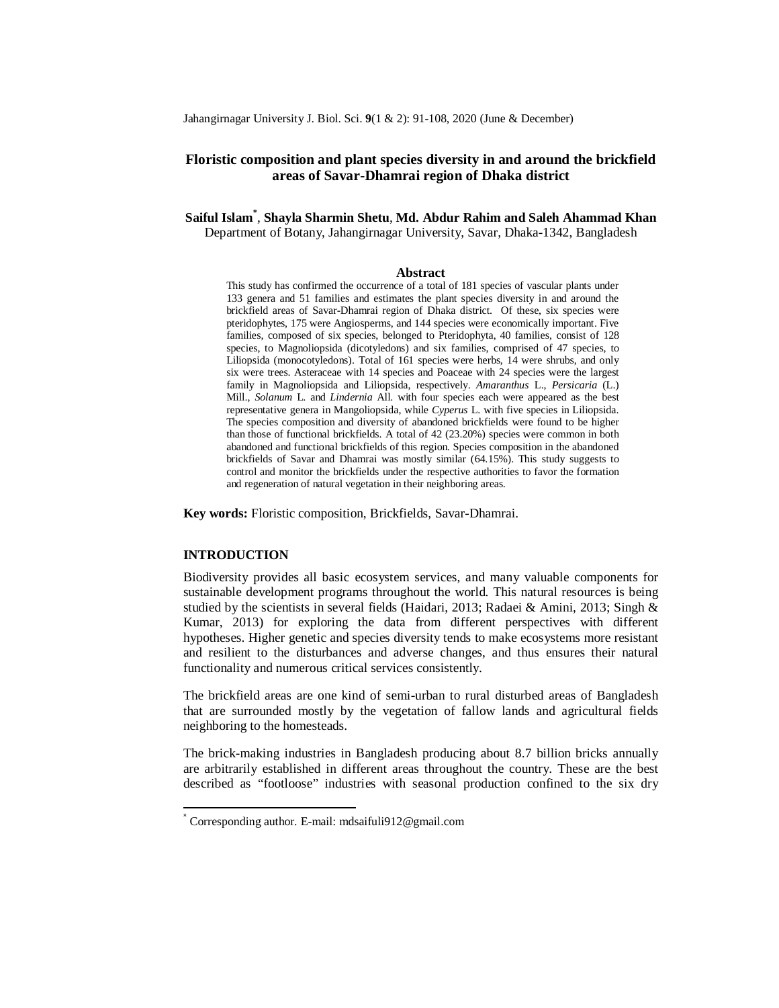Jahangirnagar University J. Biol. Sci. **9**(1 & 2): 91-108, 2020 (June & December)

# **Floristic composition and plant species diversity in and around the brickfield areas of Savar-Dhamrai region of Dhaka district**

**Saiful Islam\*** , **Shayla Sharmin Shetu**, **Md. Abdur Rahim and Saleh Ahammad Khan** Department of Botany, Jahangirnagar University, Savar, Dhaka-1342, Bangladesh

#### **Abstract**

This study has confirmed the occurrence of a total of 181 species of vascular plants under 133 genera and 51 families and estimates the plant species diversity in and around the brickfield areas of Savar-Dhamrai region of Dhaka district. Of these, six species were pteridophytes, 175 were Angiosperms, and 144 species were economically important. Five families, composed of six species, belonged to Pteridophyta, 40 families, consist of 128 species, to Magnoliopsida (dicotyledons) and six families, comprised of 47 species, to Liliopsida (monocotyledons). Total of 161 species were herbs, 14 were shrubs, and only six were trees. Asteraceae with 14 species and Poaceae with 24 species were the largest family in Magnoliopsida and Liliopsida, respectively. *Amaranthus* L., *Persicaria* (L.) Mill., *Solanum* L. and *Lindernia* All. with four species each were appeared as the best representative genera in Mangoliopsida, while *Cyperus* L. with five species in Liliopsida. The species composition and diversity of abandoned brickfields were found to be higher than those of functional brickfields. A total of 42 (23.20%) species were common in both abandoned and functional brickfields of this region. Species composition in the abandoned brickfields of Savar and Dhamrai was mostly similar (64.15%). This study suggests to control and monitor the brickfields under the respective authorities to favor the formation and regeneration of natural vegetation in their neighboring areas.

**Key words:** Floristic composition, Brickfields, Savar-Dhamrai.

# **INTRODUCTION**

 $\overline{1}$ 

Biodiversity provides all basic ecosystem services, and many valuable components for sustainable development programs throughout the world. This natural resources is being studied by the scientists in several fields (Haidari, 2013; Radaei & Amini, 2013; Singh & Kumar, 2013) for exploring the data from different perspectives with different hypotheses. Higher genetic and species diversity tends to make ecosystems more resistant and resilient to the disturbances and adverse changes, and thus ensures their natural functionality and numerous critical services consistently.

The brickfield areas are one kind of semi-urban to rural disturbed areas of Bangladesh that are surrounded mostly by the vegetation of fallow lands and agricultural fields neighboring to the homesteads.

The brick-making industries in Bangladesh producing about 8.7 billion bricks annually are arbitrarily established in different areas throughout the country. These are the best described as "footloose" industries with seasonal production confined to the six dry

<sup>\*</sup> Corresponding author. E-mail: mdsaifuli912@gmail.com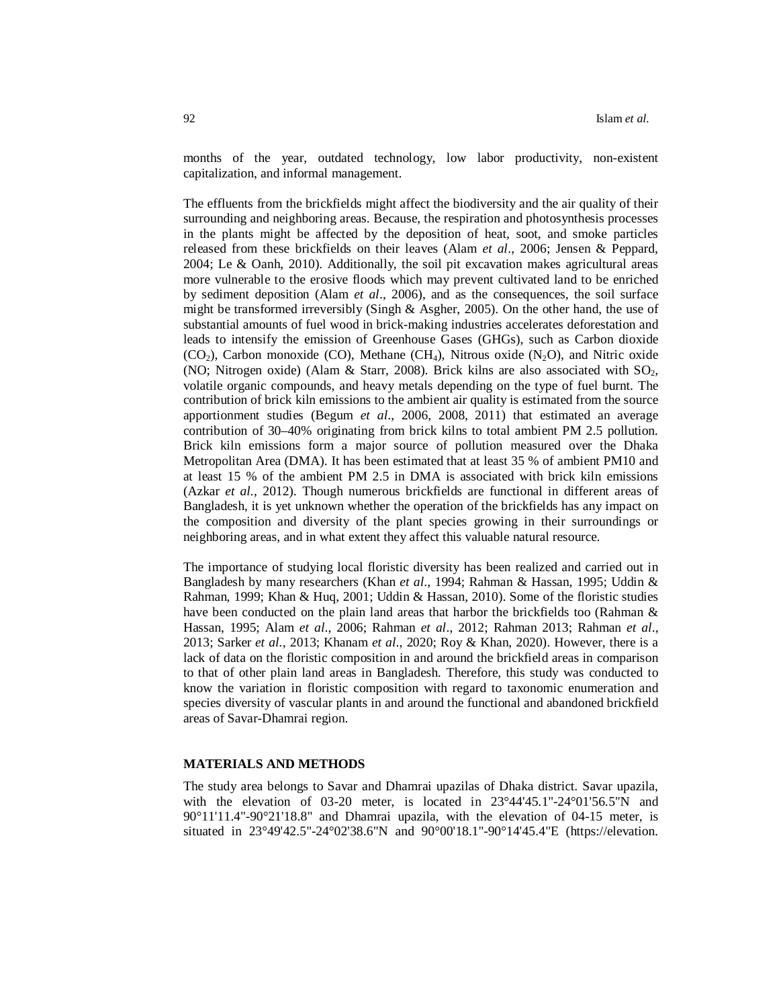months of the year, outdated technology, low labor productivity, non-existent capitalization, and informal management.

The effluents from the brickfields might affect the biodiversity and the air quality of their surrounding and neighboring areas. Because, the respiration and photosynthesis processes in the plants might be affected by the deposition of heat, soot, and smoke particles released from these brickfields on their leaves (Alam *et al*., 2006; Jensen & Peppard, 2004; Le & Oanh, 2010). Additionally, the soil pit excavation makes agricultural areas more vulnerable to the erosive floods which may prevent cultivated land to be enriched by sediment deposition (Alam *et al*., 2006), and as the consequences, the soil surface might be transformed irreversibly (Singh & Asgher, 2005). On the other hand, the use of substantial amounts of fuel wood in brick-making industries accelerates deforestation and leads to intensify the emission of Greenhouse Gases (GHGs), such as Carbon dioxide  $(CO<sub>2</sub>)$ , Carbon monoxide  $(CO)$ , Methane  $(CH<sub>4</sub>)$ , Nitrous oxide  $(N<sub>2</sub>O)$ , and Nitric oxide (NO; Nitrogen oxide) (Alam & Starr, 2008). Brick kilns are also associated with  $SO_2$ , volatile organic compounds, and heavy metals depending on the type of fuel burnt. The contribution of brick kiln emissions to the ambient air quality is estimated from the source apportionment studies (Begum *et al*., 2006, 2008, 2011) that estimated an average contribution of 30–40% originating from brick kilns to total ambient PM 2.5 pollution. Brick kiln emissions form a major source of pollution measured over the Dhaka Metropolitan Area (DMA). It has been estimated that at least 35 % of ambient PM10 and at least 15 % of the ambient PM 2.5 in DMA is associated with brick kiln emissions (Azkar *et al*., 2012). Though numerous brickfields are functional in different areas of Bangladesh, it is yet unknown whether the operation of the brickfields has any impact on the composition and diversity of the plant species growing in their surroundings or neighboring areas, and in what extent they affect this valuable natural resource.

The importance of studying local floristic diversity has been realized and carried out in Bangladesh by many researchers (Khan *et al*., 1994; Rahman & Hassan, 1995; Uddin & Rahman, 1999; Khan & Huq, 2001; Uddin & Hassan, 2010). Some of the floristic studies have been conducted on the plain land areas that harbor the brickfields too (Rahman & Hassan, 1995; Alam *et al*., 2006; Rahman *et al*., 2012; Rahman 2013; Rahman *et al*., 2013; Sarker *et al*., 2013; Khanam *et al*., 2020; Roy & Khan, 2020). However, there is a lack of data on the floristic composition in and around the brickfield areas in comparison to that of other plain land areas in Bangladesh. Therefore, this study was conducted to know the variation in floristic composition with regard to taxonomic enumeration and species diversity of vascular plants in and around the functional and abandoned brickfield areas of Savar-Dhamrai region.

## **MATERIALS AND METHODS**

The study area belongs to Savar and Dhamrai upazilas of Dhaka district. Savar upazila, with the elevation of 03-20 meter, is located in  $23^{\circ}44'45.1"$ -24 $^{\circ}01'56.5"$ N and 90°11'11.4"-90°21'18.8" and Dhamrai upazila, with the elevation of 04-15 meter, is situated in 23°49'42.5"-24°02'38.6"N and 90°00'18.1"-90°14'45.4"E (https://elevation.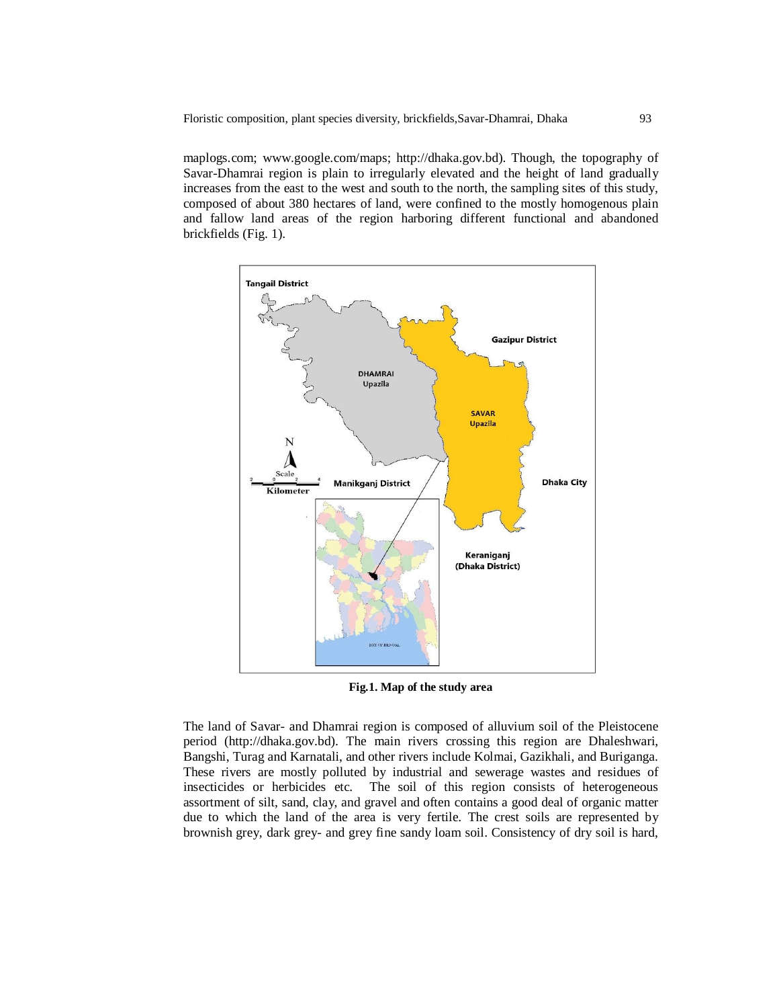maplogs.com; www.google.com/maps; http://dhaka.gov.bd). Though, the topography of Savar-Dhamrai region is plain to irregularly elevated and the height of land gradually increases from the east to the west and south to the north, the sampling sites of this study, composed of about 380 hectares of land, were confined to the mostly homogenous plain and fallow land areas of the region harboring different functional and abandoned brickfields (Fig. 1).



**Fig.1. Map of the study area**

The land of Savar- and Dhamrai region is composed of alluvium soil of the Pleistocene period (http://dhaka.gov.bd). The main rivers crossing this region are Dhaleshwari, Bangshi, Turag and Karnatali, and other rivers include Kolmai, Gazikhali, and Buriganga. These rivers are mostly polluted by industrial and sewerage wastes and residues of insecticides or herbicides etc. The soil of this region consists of heterogeneous assortment of silt, sand, clay, and gravel and often contains a good deal of organic matter due to which the land of the area is very fertile. The crest soils are represented by brownish grey, dark grey- and grey fine sandy loam soil. Consistency of dry soil is hard,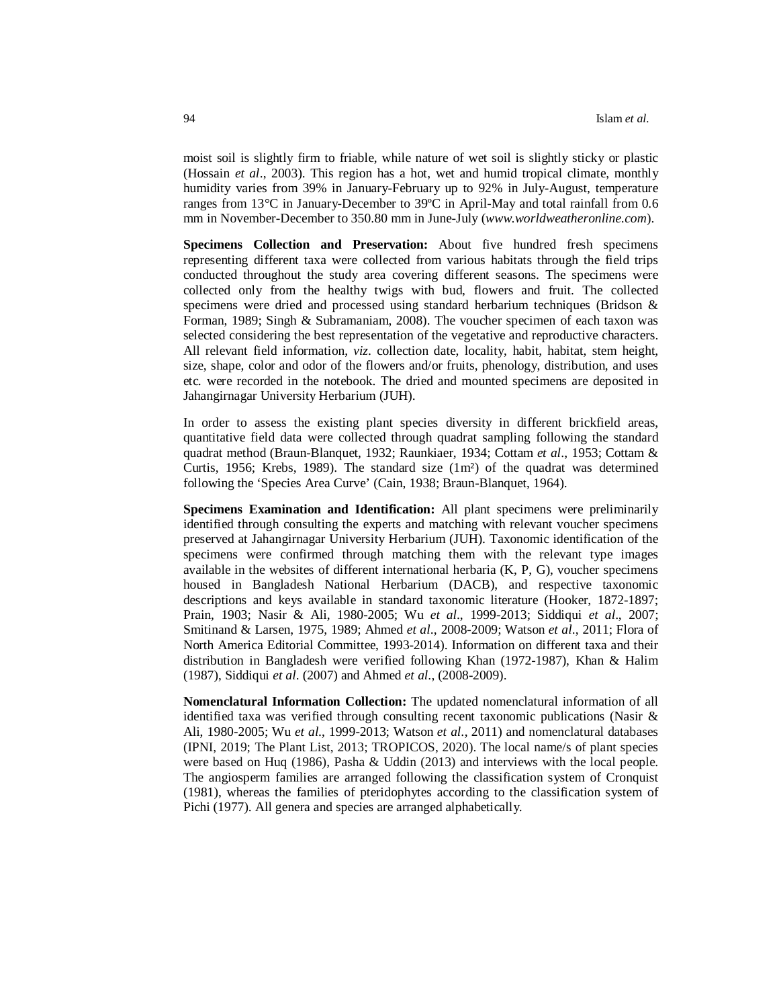moist soil is slightly firm to friable, while nature of wet soil is slightly sticky or plastic (Hossain *et al*., 2003). This region has a hot, wet and humid tropical climate, monthly humidity varies from 39% in January-February up to 92% in July-August, temperature ranges from 13°C in January-December to 39ºC in April-May and total rainfall from 0.6 mm in November-December to 350.80 mm in June-July (*www.worldweatheronline.com*).

**Specimens Collection and Preservation:** About five hundred fresh specimens representing different taxa were collected from various habitats through the field trips conducted throughout the study area covering different seasons. The specimens were collected only from the healthy twigs with bud, flowers and fruit. The collected specimens were dried and processed using standard herbarium techniques (Bridson & Forman, 1989; Singh & Subramaniam, 2008). The voucher specimen of each taxon was selected considering the best representation of the vegetative and reproductive characters. All relevant field information, *viz.* collection date, locality, habit, habitat, stem height, size, shape, color and odor of the flowers and/or fruits, phenology, distribution, and uses etc. were recorded in the notebook. The dried and mounted specimens are deposited in Jahangirnagar University Herbarium (JUH).

In order to assess the existing plant species diversity in different brickfield areas, quantitative field data were collected through quadrat sampling following the standard quadrat method (Braun-Blanquet, 1932; Raunkiaer, 1934; Cottam *et al*., 1953; Cottam & Curtis, 1956; Krebs, 1989). The standard size (1m²) of the quadrat was determined following the 'Species Area Curve' (Cain, 1938; Braun-Blanquet, 1964).

**Specimens Examination and Identification:** All plant specimens were preliminarily identified through consulting the experts and matching with relevant voucher specimens preserved at Jahangirnagar University Herbarium (JUH). Taxonomic identification of the specimens were confirmed through matching them with the relevant type images available in the websites of different international herbaria (K, P, G), voucher specimens housed in Bangladesh National Herbarium (DACB), and respective taxonomic descriptions and keys available in standard taxonomic literature (Hooker, 1872-1897; Prain, 1903; Nasir & Ali, 1980-2005; Wu *et al*., 1999-2013; Siddiqui *et al*., 2007; Smitinand & Larsen, 1975, 1989; Ahmed *et al*., 2008-2009; Watson *et al*., 2011; Flora of North America Editorial Committee, 1993-2014). Information on different taxa and their distribution in Bangladesh were verified following Khan (1972-1987), Khan & Halim (1987), Siddiqui *et al*. (2007) and Ahmed *et al*., (2008-2009).

**Nomenclatural Information Collection:** The updated nomenclatural information of all identified taxa was verified through consulting recent taxonomic publications (Nasir & Ali, 1980-2005; Wu *et al*., 1999-2013; Watson *et al*., 2011) and nomenclatural databases (IPNI, 2019; The Plant List, 2013; TROPICOS, 2020). The local name/s of plant species were based on Huq (1986), Pasha & Uddin (2013) and interviews with the local people. The angiosperm families are arranged following the classification system of Cronquist (1981), whereas the families of pteridophytes according to the classification system of Pichi (1977). All genera and species are arranged alphabetically.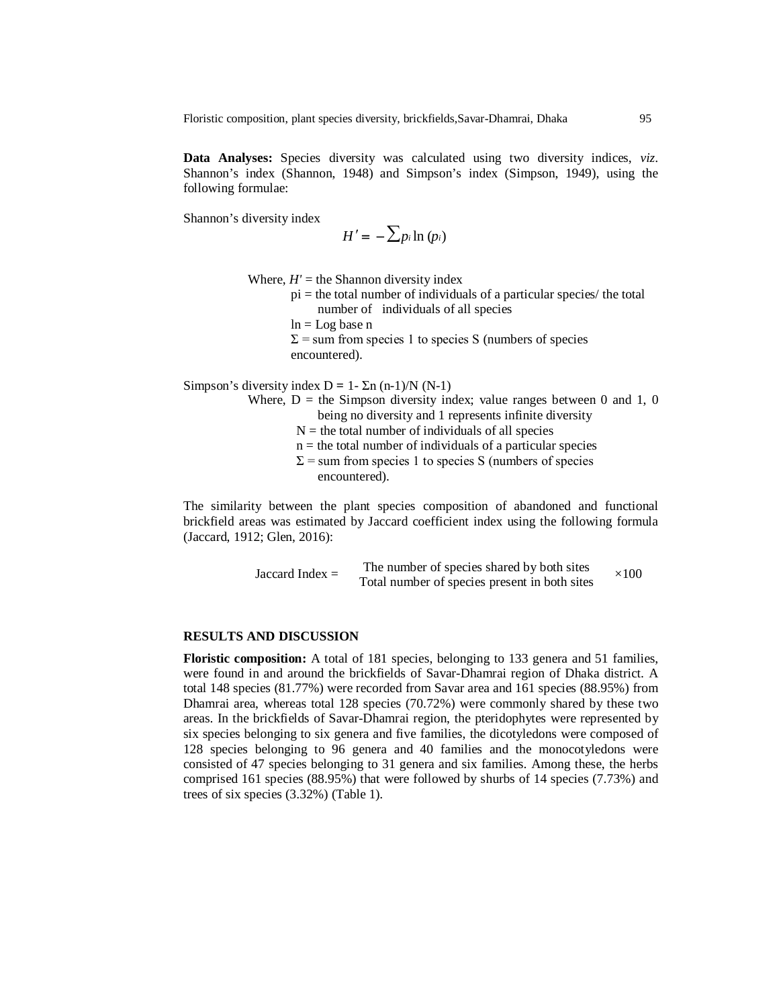**Data Analyses:** Species diversity was calculated using two diversity indices, *viz*. Shannon's index (Shannon, 1948) and Simpson's index (Simpson, 1949), using the following formulae:

Shannon's diversity index

$$
H'=-\sum p_i \ln (p_i)
$$

Where,  $H'$  = the Shannon diversity index

- $pi =$  the total number of individuals of a particular species/ the total number of individuals of all species
- $ln = Log base n$
- $\Sigma$  = sum from species 1 to species S (numbers of species encountered).

Simpson's diversity index  $D = 1 - \Sigma n (n-1)/N (N-1)$ 

- Where,  $D =$  the Simpson diversity index; value ranges between 0 and 1, 0 being no diversity and 1 represents infinite diversity
	- $N =$  the total number of individuals of all species
	- $n =$  the total number of individuals of a particular species
	- $\Sigma$  = sum from species 1 to species S (numbers of species encountered).

The similarity between the plant species composition of abandoned and functional brickfield areas was estimated by Jaccard coefficient index using the following formula (Jaccard, 1912; Glen, 2016):

Jaccard Index = The number of species shared by both sites  $\times 100$ <br>Total number of species present in both sites

# **RESULTS AND DISCUSSION**

**Floristic composition:** A total of 181 species, belonging to 133 genera and 51 families, were found in and around the brickfields of Savar-Dhamrai region of Dhaka district. A total 148 species (81.77%) were recorded from Savar area and 161 species (88.95%) from Dhamrai area, whereas total 128 species (70.72%) were commonly shared by these two areas. In the brickfields of Savar-Dhamrai region, the pteridophytes were represented by six species belonging to six genera and five families, the dicotyledons were composed of 128 species belonging to 96 genera and 40 families and the monocotyledons were consisted of 47 species belonging to 31 genera and six families. Among these, the herbs comprised 161 species (88.95%) that were followed by shurbs of 14 species (7.73%) and trees of six species (3.32%) (Table 1).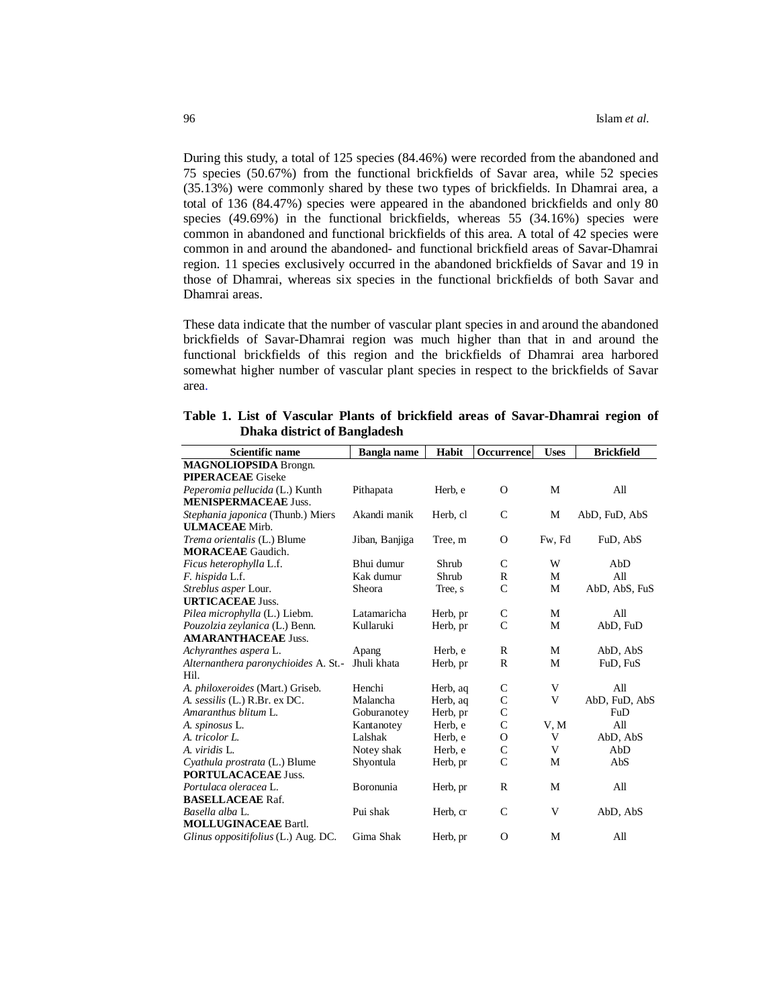During this study, a total of 125 species (84.46%) were recorded from the abandoned and 75 species (50.67%) from the functional brickfields of Savar area, while 52 species (35.13%) were commonly shared by these two types of brickfields. In Dhamrai area, a total of 136 (84.47%) species were appeared in the abandoned brickfields and only 80 species (49.69%) in the functional brickfields, whereas 55 (34.16%) species were common in abandoned and functional brickfields of this area. A total of 42 species were common in and around the abandoned- and functional brickfield areas of Savar-Dhamrai region. 11 species exclusively occurred in the abandoned brickfields of Savar and 19 in those of Dhamrai, whereas six species in the functional brickfields of both Savar and Dhamrai areas.

These data indicate that the number of vascular plant species in and around the abandoned brickfields of Savar-Dhamrai region was much higher than that in and around the functional brickfields of this region and the brickfields of Dhamrai area harbored somewhat higher number of vascular plant species in respect to the brickfields of Savar area.

|                                     |  |  |  |  |  |  |  |  |  | Table 1. List of Vascular Plants of brickfield areas of Savar-Dhamrai region of |  |
|-------------------------------------|--|--|--|--|--|--|--|--|--|---------------------------------------------------------------------------------|--|
| <b>Dhaka district of Bangladesh</b> |  |  |  |  |  |  |  |  |  |                                                                                 |  |

| <b>Scientific name</b>               | <b>Bangla</b> name | Habit    | Occurrence    | <b>Uses</b> | <b>Brickfield</b> |
|--------------------------------------|--------------------|----------|---------------|-------------|-------------------|
| <b>MAGNOLIOPSIDA</b> Brongn.         |                    |          |               |             |                   |
| <b>PIPERACEAE</b> Giseke             |                    |          |               |             |                   |
| Peperomia pellucida (L.) Kunth       | Pithapata          | Herb, e  | $\Omega$      | M           | All               |
| <b>MENISPERMACEAE Juss.</b>          |                    |          |               |             |                   |
| Stephania japonica (Thunb.) Miers    | Akandi manik       | Herb, cl | $\mathsf{C}$  | М           | AbD, FuD, AbS     |
| <b>ULMACEAE</b> Mirb.                |                    |          |               |             |                   |
| Trema orientalis (L.) Blume          | Jiban, Banjiga     | Tree, m  | $\Omega$      | Fw, Fd      | FuD, AbS          |
| <b>MORACEAE</b> Gaudich.             |                    |          |               |             |                   |
| Ficus heterophylla L.f.              | Bhui dumur         | Shrub    | $\mathcal{C}$ | W           | AbD               |
| F. hispida L.f.                      | Kak dumur          | Shrub    | $\mathbb{R}$  | M           | All               |
| Streblus asper Lour.                 | Sheora             | Tree, s  | $\mathsf{C}$  | M           | AbD, AbS, FuS     |
| <b>URTICACEAE Juss.</b>              |                    |          |               |             |                   |
| Pilea microphylla (L.) Liebm.        | Latamaricha        | Herb, pr | C             | M           | All               |
| Pouzolzia zeylanica (L.) Benn.       | Kullaruki          | Herb, pr | $\mathcal{C}$ | M           | AbD, FuD          |
| <b>AMARANTHACEAE Juss.</b>           |                    |          |               |             |                   |
| Achyranthes aspera L.                | Apang              | Herb, e  | R             | M           | AbD, AbS          |
| Alternanthera paronychioides A. St.- | Jhuli khata        | Herb, pr | R             | M           | FuD, FuS          |
| Hil.                                 |                    |          |               |             |                   |
| A. philoxeroides (Mart.) Griseb.     | Henchi             | Herb, aq | $\mathsf{C}$  | V           | All               |
| A. sessilis (L.) R.Br. ex DC.        | Malancha           | Herb, aq | $\mathsf{C}$  | V           | AbD, FuD, AbS     |
| Amaranthus blitum L.                 | Goburanotey        | Herb, pr | $\mathsf{C}$  |             | FuD               |
| A. spinosus L.                       | Kantanotey         | Herb, e  | $\mathsf{C}$  | V, M        | All               |
| A. tricolor L.                       | Lalshak            | Herb, e  | $\Omega$      | V           | AbD, AbS          |
| A. viridis L.                        | Notey shak         | Herb, e  | $\mathsf{C}$  | V           | AbD               |
| Cyathula prostrata (L.) Blume        | Shyontula          | Herb, pr | $\mathsf{C}$  | М           | AbS               |
| <b>PORTULACACEAE Juss.</b>           |                    |          |               |             |                   |
| Portulaca oleracea L.                | Boronunia          | Herb, pr | $\mathbb{R}$  | M           | All               |
| <b>BASELLACEAE Raf.</b>              |                    |          |               |             |                   |
| Basella alba L.                      | Pui shak           | Herb, cr | $\mathsf{C}$  | V           | AbD, AbS          |
| <b>MOLLUGINACEAE Bartl.</b>          |                    |          |               |             |                   |
| Glinus oppositifolius (L.) Aug. DC.  | Gima Shak          | Herb, pr | O             | М           | All               |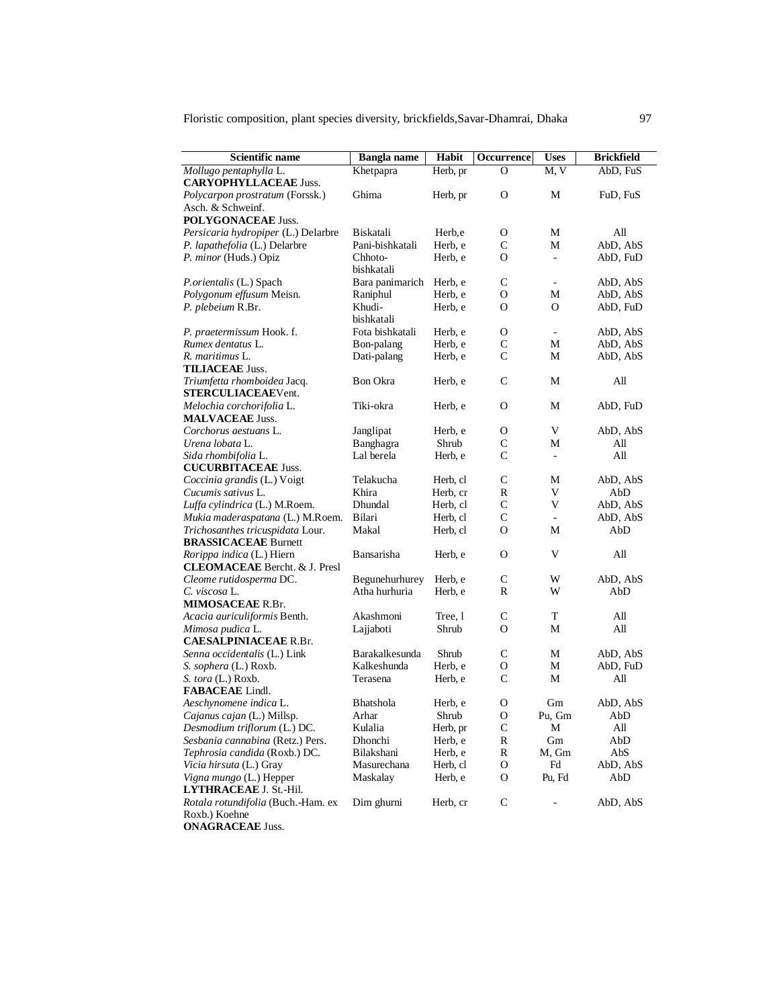| Scientific name                        | <b>Bangla</b> name    | Habit    | <b>Occurrence</b> | <b>Uses</b>                                                                                                                                  | <b>Brickfield</b> |
|----------------------------------------|-----------------------|----------|-------------------|----------------------------------------------------------------------------------------------------------------------------------------------|-------------------|
| Mollugo pentaphylla L.                 | Khetpapra             | Herb, pr | $\Omega$          | M, V                                                                                                                                         | AbD, FuS          |
| <b>CARYOPHYLLACEAE Juss.</b>           |                       |          |                   |                                                                                                                                              |                   |
| <i>Polycarpon prostratum</i> (Forssk.) | Ghima                 | Herb, pr | O                 | М                                                                                                                                            | FuD, FuS          |
| Asch. & Schweinf.                      |                       |          |                   |                                                                                                                                              |                   |
| <b>POLYGONACEAE Juss.</b>              |                       |          |                   |                                                                                                                                              |                   |
| Persicaria hydropiper (L.) Delarbre    | <b>Biskatali</b>      | Herb,e   | 0                 | М                                                                                                                                            | All               |
| P. lapathefolia (L.) Delarbre          | Pani-bishkatali       | Herb, e  | C                 | М                                                                                                                                            | AbD, AbS          |
| P. minor (Huds.) Opiz                  | Chhoto-               | Herb, e  | 0                 | $\overline{\phantom{a}}$                                                                                                                     | AbD, FuD          |
|                                        | bishkatali            |          |                   |                                                                                                                                              |                   |
| P.orientalis (L.) Spach                | Bara panimarich       | Herb, e  | C                 | $\overline{\phantom{a}}$                                                                                                                     | AbD, AbS          |
| Polygonum effusum Meisn.               | Raniphul              | Herb, e  | O                 | М                                                                                                                                            | AbD, AbS          |
| P. plebeium R.Br.                      | Khudi-                | Herb. e  | O                 | O                                                                                                                                            | AbD, FuD          |
|                                        | bishkatali            |          |                   |                                                                                                                                              |                   |
| P. praetermissum Hook. f.              | Fota bishkatali       | Herb, e  | О                 | $\overline{\phantom{a}}$                                                                                                                     | AbD, AbS          |
| Rumex dentatus L.                      | Bon-palang            | Herb, e  | C                 | М                                                                                                                                            | AbD, AbS          |
| R. maritimus L.                        | Dati-palang           | Herb, e  | C                 | М                                                                                                                                            | AbD, AbS          |
| <b>TILIACEAE Juss.</b>                 |                       |          |                   |                                                                                                                                              |                   |
| Triumfetta rhomboidea Jacq.            | <b>Bon Okra</b>       | Herb, e  | $\mathsf{C}$      | М                                                                                                                                            | All               |
| STERCULIACEAEVent.                     |                       |          |                   |                                                                                                                                              |                   |
| Melochia corchorifolia L.              | Tiki-okra             | Herb, e  | О                 | М                                                                                                                                            | AbD, FuD          |
| <b>MALVACEAE Juss.</b>                 |                       |          |                   |                                                                                                                                              |                   |
| Corchorus aestuans L.                  | Janglipat             | Herb, e  | 0                 | V                                                                                                                                            | AbD, AbS          |
| Urena lobata L.                        | Banghagra             | Shrub    | C                 | М                                                                                                                                            | All               |
| Sida rhombifolia L.                    | Lal berela            | Herb, e  | C                 | $\overline{\phantom{a}}$                                                                                                                     | All               |
| <b>CUCURBITACEAE Juss.</b>             |                       |          |                   |                                                                                                                                              |                   |
| Coccinia grandis (L.) Voigt            | Telakucha             | Herb, cl | $\mathsf{C}$      | М                                                                                                                                            | AbD, AbS          |
| Cucumis sativus L.                     | Khira                 | Herb, cr | R                 | V                                                                                                                                            | AbD               |
| Luffa cylindrica (L.) M.Roem.          | Dhundal               | Herb, cl | $\mathsf{C}$      | V                                                                                                                                            | AbD, AbS          |
| Mukia maderaspatana (L.) M.Roem.       | Bilari                | Herb, cl | C                 | $\overline{\phantom{a}}$                                                                                                                     | AbD, AbS          |
| Trichosanthes tricuspidata Lour.       | Makal                 | Herb, cl | O                 | М                                                                                                                                            | AbD               |
| <b>BRASSICACEAE Burnett</b>            |                       |          |                   |                                                                                                                                              |                   |
| Rorippa indica (L.) Hiern              | Bansarisha            | Herb, e  | O                 | V                                                                                                                                            | All               |
| <b>CLEOMACEAE</b> Bercht. & J. Presl   |                       |          |                   |                                                                                                                                              |                   |
| Cleome rutidosperma DC.                | Begunehurhurey        | Herb, e  | $\mathcal{C}$     | W                                                                                                                                            | AbD, AbS          |
| C. viscosa L.                          | Atha hurhuria         | Herb, e  | R                 | W                                                                                                                                            | AbD               |
| MIMOSACEAE R.Br.                       |                       |          |                   |                                                                                                                                              |                   |
| Acacia auriculiformis Benth.           | Akashmoni             | Tree, 1  | С                 | T                                                                                                                                            | All               |
| Mimosa pudica L.                       | Lajjaboti             | Shrub    | O                 | М                                                                                                                                            | All               |
| <b>CAESALPINIACEAE R.Br.</b>           |                       |          |                   |                                                                                                                                              |                   |
| Senna occidentalis (L.) Link           | <b>Barakalkesunda</b> | Shrub    | C                 | М                                                                                                                                            | AbD, AbS          |
| S. sophera (L.) Roxb.                  | Kalkeshunda           | Herb, e  | O                 | М                                                                                                                                            | AbD, FuD          |
| S. tora (L.) Roxb.                     | Terasena              | Herb, e  | C                 | М                                                                                                                                            | All               |
| FABACEAE Lindl.                        |                       |          |                   |                                                                                                                                              |                   |
| Aeschynomene indica L.                 | <b>Bhatshola</b>      | Herb, e  | O                 | Gm                                                                                                                                           | AbD, AbS          |
| Cajanus cajan (L.) Millsp.             | Arhar                 | Shrub    | О                 | Pu, Gm                                                                                                                                       | AbD               |
| Desmodium triflorum (L.) DC.           | Kulalia               | Herb, pr | C                 | М                                                                                                                                            | All               |
| Sesbania cannabina (Retz.) Pers.       | Dhonchi               | Herb, e  | R                 | Gm                                                                                                                                           | AbD               |
| Tephrosia candida (Roxb.) DC.          | Bilakshani            | Herb, e  | R                 | M, Gm                                                                                                                                        | AbS               |
| Vicia hirsuta (L.) Gray                | Masurechana           | Herb, cl | О                 | $\operatorname*{Fd}% \nolimits_{\mathbb{Z}}\left( \mathcal{M}_{\alpha}^{\ast}\right) ^{1/2}\left( \mathcal{M}_{\alpha}^{\ast}\right) ^{1/2}$ | AbD, AbS          |
| Vigna mungo (L.) Hepper                | Maskalay              | Herb, e  | O                 | Pu, Fd                                                                                                                                       | AbD               |
| LYTHRACEAE J. St.-Hil.                 |                       |          |                   |                                                                                                                                              |                   |
| Rotala rotundifolia (Buch.-Ham. ex     | Dim ghurni            | Herb, cr | $\mathsf{C}$      |                                                                                                                                              | AbD, AbS          |
| Roxb.) Koehne                          |                       |          |                   |                                                                                                                                              |                   |
| <b>ONAGRACEAE Juss.</b>                |                       |          |                   |                                                                                                                                              |                   |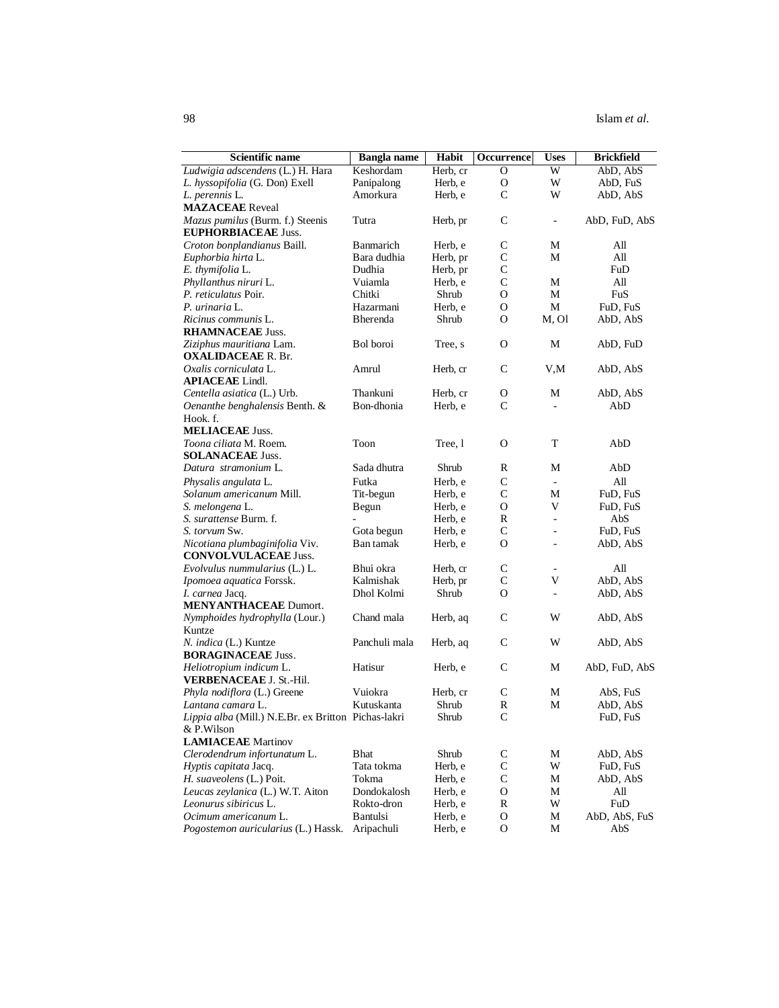| <b>Scientific name</b>                                         | <b>Bangla</b> name | Habit    | Occurrence    | <b>Uses</b>              | <b>Brickfield</b> |
|----------------------------------------------------------------|--------------------|----------|---------------|--------------------------|-------------------|
| Ludwigia adscendens (L.) H. Hara                               | Keshordam          | Herb, cr | O             | W                        | AbD, AbS          |
| L. hyssopifolia (G. Don) Exell                                 | Panipalong         | Herb, e  | О             | W                        | AbD, FuS          |
| L. perennis L.                                                 | Amorkura           | Herb, e  | $\mathsf{C}$  | W                        | AbD, AbS          |
| <b>MAZACEAE</b> Reveal                                         |                    |          |               |                          |                   |
| Mazus pumilus (Burm. f.) Steenis<br><b>EUPHORBIACEAE Juss.</b> | Tutra              | Herb, pr | C             | $\blacksquare$           | AbD, FuD, AbS     |
| Croton bonplandianus Baill.                                    | <b>Banmarich</b>   | Herb, e  | C             | М                        | All               |
| Euphorbia hirta L.                                             | Bara dudhia        | Herb, pr | $\mathsf{C}$  | М                        | All               |
| E. thymifolia L.                                               | Dudhia             | Herb, pr | С             |                          | FuD               |
| Phyllanthus niruri L.                                          | Vuiamla            | Herb, e  | $\mathsf{C}$  | М                        | All               |
| P. reticulatus Poir.                                           | Chitki             | Shrub    | O             | М                        | FuS               |
| P. urinaria L.                                                 | Hazarmani          | Herb, e  | O             | М                        | FuD, FuS          |
| Ricinus communis L.                                            | Bherenda           | Shrub    | O             | M, Ol                    | AbD, AbS          |
| <b>RHAMNACEAE Juss.</b>                                        |                    |          |               |                          |                   |
| Ziziphus mauritiana Lam.                                       | Bol boroi          | Tree, s  | О             | М                        | AbD, FuD          |
| <b>OXALIDACEAE R. Br.</b>                                      |                    |          |               |                          |                   |
| Oxalis corniculata L.                                          | Amrul              | Herb, cr | C             | V,M                      | AbD, AbS          |
| <b>APIACEAE</b> Lindl.                                         |                    |          |               |                          |                   |
| Centella asiatica (L.) Urb.                                    | Thankuni           | Herb, cr | О             | М                        | AbD, AbS          |
| Oenanthe benghalensis Benth. &                                 | Bon-dhonia         | Herb, e  | $\mathsf{C}$  | ÷                        | AbD               |
| Hook. f.                                                       |                    |          |               |                          |                   |
| <b>MELIACEAE Juss.</b>                                         |                    |          |               |                          |                   |
| Toona ciliata M. Roem.                                         | Toon               | Tree, 1  | O             | T                        | AbD               |
| <b>SOLANACEAE Juss.</b>                                        |                    |          |               |                          |                   |
| Datura stramonium L.                                           | Sada dhutra        | Shrub    | R             | М                        | AbD               |
| Physalis angulata L.                                           | Futka              | Herb, e  | $\mathsf{C}$  | $\sim$                   | All               |
| Solanum americanum Mill.                                       | Tit-begun          | Herb, e  | $\mathsf{C}$  | М                        | FuD, FuS          |
| S. melongena L.                                                | Begun              | Herb, e  | O             | V                        | FuD, FuS          |
| S. surattense Burm. f.                                         |                    | Herb, e  | R             | ÷,                       | AbS               |
| S. torvum Sw.                                                  | Gota begun         | Herb, e  | $\mathsf{C}$  | $\overline{\phantom{a}}$ | FuD, FuS          |
| Nicotiana plumbaginifolia Viv.                                 | Ban tamak          | Herb, e  | O             | ä,                       | AbD, AbS          |
| <b>CONVOLVULACEAE Juss.</b>                                    |                    |          |               |                          |                   |
| Evolvulus nummularius (L.) L.                                  | Bhui okra          | Herb, cr | C             |                          | All               |
| Ipomoea aquatica Forssk.                                       | Kalmishak          | Herb, pr | $\mathsf{C}$  | V                        | AbD, AbS          |
| I. carnea Jacq.                                                | Dhol Kolmi         | Shrub    | O             | $\overline{\phantom{a}}$ | AbD, AbS          |
| <b>MENYANTHACEAE Dumort.</b>                                   |                    |          |               |                          |                   |
| Nymphoides hydrophylla (Lour.)                                 | Chand mala         | Herb, aq | C             | W                        | AbD, AbS          |
| Kuntze                                                         |                    |          |               |                          |                   |
| N. indica (L.) Kuntze                                          | Panchuli mala      | Herb, aq | C             | W                        | AbD, AbS          |
| <b>BORAGINACEAE Juss.</b>                                      |                    |          |               |                          |                   |
| Heliotropium indicum L.                                        | Hatisur            | Herb, e  | C             | М                        | AbD, FuD, AbS     |
| <b>VERBENACEAE J. St.-Hil.</b>                                 |                    |          |               |                          |                   |
| Phyla nodiflora (L.) Greene                                    | Vuiokra            | Herb, cr | C             | М                        | AbS, FuS          |
| Lantana camara L.                                              | Kutuskanta         | Shrub    | $\mathbb{R}$  | М                        | AbD, AbS          |
| Lippia alba (Mill.) N.E.Br. ex Britton Pichas-lakri            |                    | Shrub    | $\mathsf{C}$  |                          | FuD, FuS          |
| & P.Wilson                                                     |                    |          |               |                          |                   |
| <b>LAMIACEAE</b> Martinov                                      |                    |          |               |                          |                   |
| Clerodendrum infortunatum L.                                   | <b>Bhat</b>        | Shrub    | $\mathbf C$   | M                        | AbD, AbS          |
| Hyptis capitata Jacq.                                          | Tata tokma         | Herb, e  | $\mathsf{C}$  | W                        | FuD, FuS          |
| H. suaveolens (L.) Poit.                                       | Tokma              | Herb, e  | $\mathbf C$   | M                        | AbD, AbS          |
| Leucas zeylanica (L.) W.T. Aiton                               | Dondokalosh        | Herb, e  | $\mathcal{O}$ | M                        | All               |
| Leonurus sibiricus L.                                          | Rokto-dron         | Herb, e  | $\mathbb R$   | W                        | FuD               |
| Ocimum americanum L.                                           | <b>Bantulsi</b>    | Herb, e  | $\mathcal{O}$ | M                        | AbD, AbS, FuS     |
| Pogostemon auricularius (L.) Hassk.                            | Aripachuli         | Herb, e  | O             | M                        | AbS               |
|                                                                |                    |          |               |                          |                   |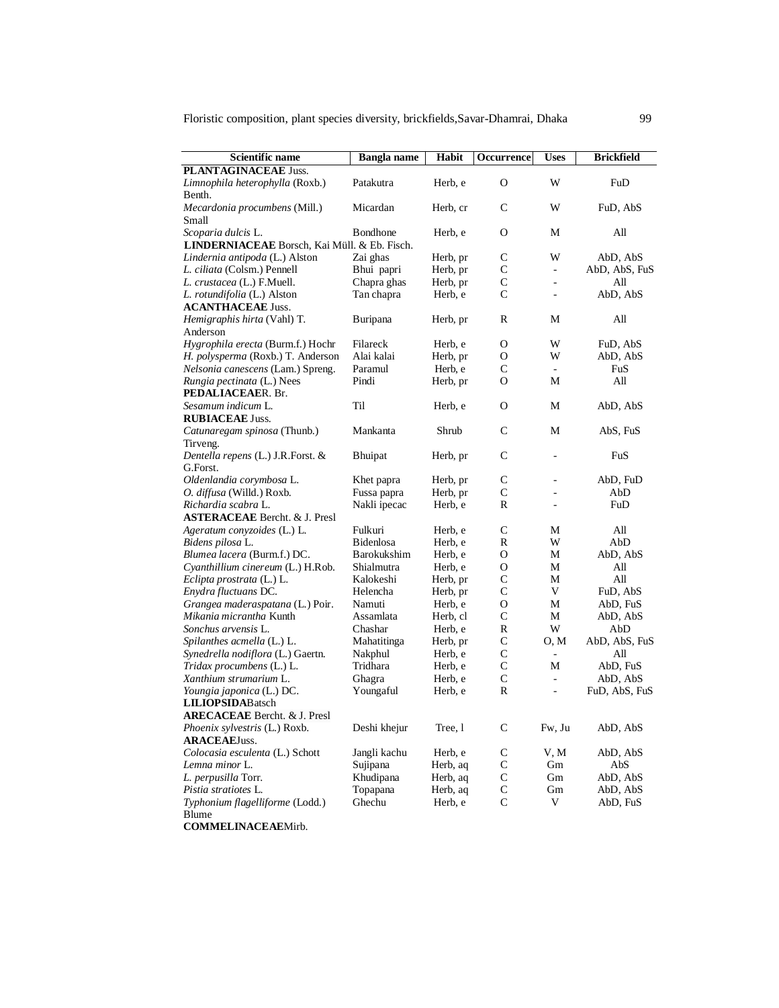| <b>Scientific name</b>                                      | <b>Bangla</b> name | Habit               | Occurrence        | <b>Uses</b>              | <b>Brickfield</b>    |
|-------------------------------------------------------------|--------------------|---------------------|-------------------|--------------------------|----------------------|
| PLANTAGINACEAE Juss.                                        |                    |                     |                   |                          |                      |
| Limnophila heterophylla (Roxb.)                             | Patakutra          | Herb, e             | $\Omega$          | W                        | FuD                  |
| Benth.                                                      |                    |                     |                   |                          |                      |
| Mecardonia procumbens (Mill.)                               | Micardan           | Herb, cr            | C                 | W                        | FuD, AbS             |
| Small                                                       |                    |                     |                   |                          |                      |
| Scoparia dulcis L.                                          | Bondhone           | Herb, e             | O                 | М                        | All                  |
| LINDERNIACEAE Borsch, Kai Müll. & Eb. Fisch.                |                    |                     |                   |                          |                      |
| Lindernia antipoda (L.) Alston                              | Zai ghas           | Herb, pr            | С                 | W                        | AbD, AbS             |
| L. ciliata (Colsm.) Pennell                                 | Bhui papri         | Herb, pr            | С                 | $\overline{\phantom{a}}$ | AbD, AbS, FuS        |
| L. crustacea (L.) F.Muell.                                  | Chapra ghas        | Herb, pr            | С                 | $\sim$                   | All                  |
| L. rotundifolia (L.) Alston                                 | Tan chapra         | Herb, e             | $\mathsf{C}$      | $\overline{\phantom{a}}$ | AbD, AbS             |
| <b>ACANTHACEAE Juss.</b>                                    |                    |                     |                   |                          |                      |
| Hemigraphis hirta (Vahl) T.                                 | Buripana           | Herb, pr            | R                 | М                        | All                  |
| Anderson                                                    |                    |                     |                   |                          |                      |
| Hygrophila erecta (Burm.f.) Hochr                           | Filareck           | Herb, e             | О                 | W                        | FuD, AbS             |
| H. polysperma (Roxb.) T. Anderson                           | Alai kalai         | Herb, pr            | O                 | W                        | AbD, AbS             |
| Nelsonia canescens (Lam.) Spreng.                           | Paramul            | Herb, e             | С                 | $\sim$                   | FuS                  |
| Rungia pectinata (L.) Nees                                  | Pindi              | Herb, pr            | O                 | М                        | All                  |
| PEDALIACEAER. Br.                                           |                    |                     |                   |                          |                      |
| Sesamum indicum L.                                          | Til                | Herb, e             | О                 | М                        | AbD, AbS             |
| <b>RUBIACEAE Juss.</b>                                      |                    |                     |                   |                          |                      |
| Catunaregam spinosa (Thunb.)                                | Mankanta           | Shrub               | C                 | М                        | AbS, FuS             |
| Tirveng.                                                    |                    |                     |                   |                          |                      |
| Dentella repens (L.) J.R.Forst. &                           | <b>Bhuipat</b>     | Herb, pr            | C                 | ÷,                       | FuS                  |
| G.Forst.                                                    |                    |                     |                   |                          |                      |
| Oldenlandia corymbosa L.                                    | Khet papra         | Herb, pr            | С                 | $\sim$                   | AbD, FuD             |
| O. diffusa (Willd.) Roxb.                                   | Fussa papra        | Herb, pr            | С                 |                          | AbD                  |
| Richardia scabra L.                                         | Nakli ipecac       | Herb, e             | R                 | $\sim$                   | FuD                  |
| <b>ASTERACEAE</b> Bercht. & J. Presl                        |                    |                     |                   |                          |                      |
| Ageratum conyzoides (L.) L.                                 | Fulkuri            | Herb, e             | С                 | М                        | All                  |
| Bidens pilosa L.                                            | <b>Bidenlosa</b>   | Herb, e             | R                 | W                        | AbD                  |
| Blumea lacera (Burm.f.) DC.                                 | <b>Barokukshim</b> | Herb, e             | О                 | М                        | AbD, AbS             |
| Cyanthillium cinereum (L.) H.Rob.                           | Shialmutra         | Herb, e             | О<br>$\mathsf{C}$ | М                        | All                  |
| Eclipta prostrata (L.) L.                                   | Kalokeshi          | Herb, pr            | $\mathsf{C}$      | М<br>V                   | All                  |
| Enydra fluctuans DC.                                        | Helencha<br>Namuti | Herb, pr<br>Herb, e | О                 | М                        | FuD, AbS             |
| Grangea maderaspatana (L.) Poir.<br>Mikania micrantha Kunth | Assamlata          | Herb, cl            | $\mathsf{C}$      | М                        | AbD, FuS<br>AbD, AbS |
| Sonchus arvensis L.                                         | Chashar            | Herb, e             | R                 | W                        | AbD                  |
| Spilanthes acmella (L.) L.                                  | Mahatitinga        | Herb, pr            | $\mathsf{C}$      | O, M                     | AbD, AbS, FuS        |
| Synedrella nodiflora (L.) Gaertn.                           | Nakphul            | Herb, e             | $\mathsf{C}$      | $\overline{\phantom{a}}$ | All                  |
| Tridax procumbens (L.) L.                                   | Tridhara           | Herb, e             | $\mathsf{C}$      | М                        | AbD, FuS             |
| Xanthium strumarium L.                                      | Ghagra             | Herb, e             | $\mathsf{C}$      | $\overline{\phantom{a}}$ | AbD, AbS             |
| Youngia japonica (L.) DC.                                   | Youngaful          | Herb, e             | R                 | ÷,                       | FuD, AbS, FuS        |
| <b>LILIOPSIDABatsch</b>                                     |                    |                     |                   |                          |                      |
| <b>ARECACEAE</b> Bercht. & J. Presl                         |                    |                     |                   |                          |                      |
| Phoenix sylvestris (L.) Roxb.                               | Deshi khejur       | Tree, 1             | $\mathsf{C}$      | Fw, Ju                   | AbD, AbS             |
| <b>ARACEAEJuss.</b>                                         |                    |                     |                   |                          |                      |
| Colocasia esculenta (L.) Schott                             | Jangli kachu       | Herb, e             | C                 | V, M                     | AbD, AbS             |
| Lemna minor L.                                              | Sujipana           | Herb, aq            | C                 | Gm                       | AbS                  |
| L. perpusilla Torr.                                         | Khudipana          | Herb, aq            | $\mathbf C$       | Gm                       | AbD, AbS             |
| Pistia stratiotes L.                                        | Topapana           | Herb, aq            | C                 | Gm                       | AbD, AbS             |
| Typhonium flagelliforme (Lodd.)                             | Ghechu             | Herb, e             | $\mathsf{C}$      | V                        | AbD, FuS             |
| Blume                                                       |                    |                     |                   |                          |                      |

**COMMELINACEAE**Mirb.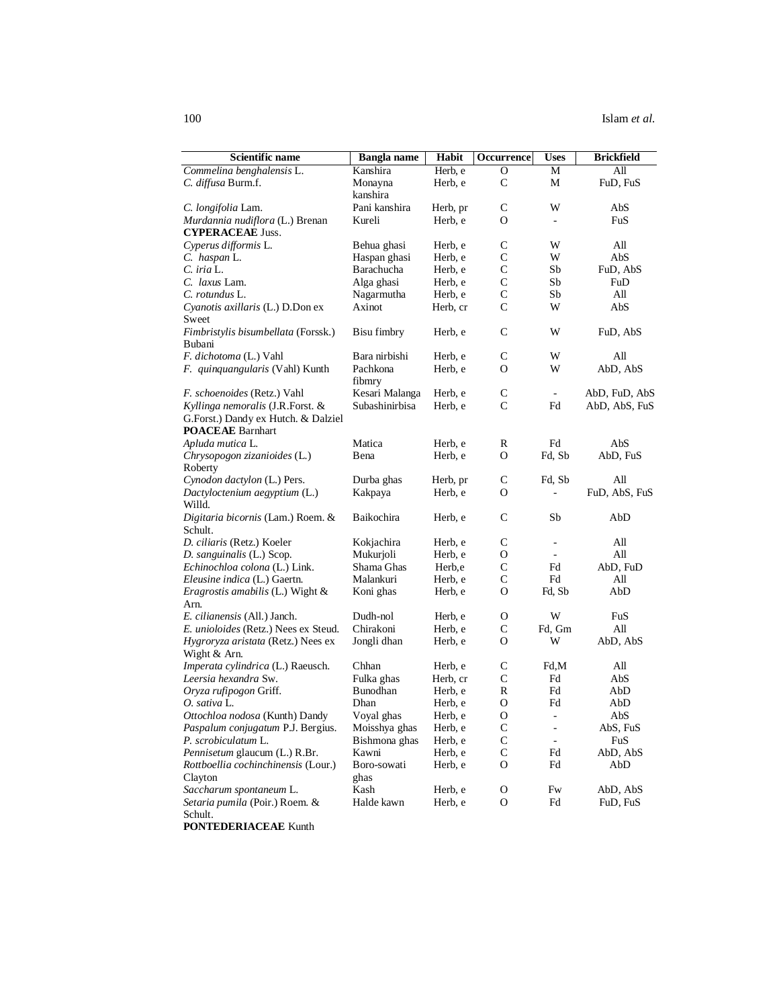| <b>Scientific name</b>                  | Bangla name        | Habit    | Occurrence   | Uses                     | <b>Brickfield</b> |
|-----------------------------------------|--------------------|----------|--------------|--------------------------|-------------------|
| Commelina benghalensis L.               | Kanshira           | Herb, e  | 0            | М                        | All               |
| C. diffusa Burm.f.                      | Monayna            | Herb, e  | C            | М                        | FuD, FuS          |
|                                         | kanshira           |          |              |                          |                   |
| C. longifolia Lam.                      | Pani kanshira      | Herb, pr | C            | W                        | AbS               |
| Murdannia nudiflora (L.) Brenan         | Kureli             | Herb, e  | O            | $\overline{\phantom{a}}$ | FuS               |
| <b>CYPERACEAE Juss.</b>                 |                    |          |              |                          |                   |
| Cyperus difformis L.                    | Behua ghasi        | Herb, e  | $\mathsf C$  | W                        | All               |
| C. haspan L.                            | Haspan ghasi       | Herb, e  | $\mathsf{C}$ | W                        | AbS               |
| $C.$ iria $L.$                          | <b>Barachucha</b>  | Herb, e  | $\mathsf{C}$ | Sb                       | FuD, AbS          |
| C. laxus Lam.                           | Alga ghasi         | Herb, e  | $\mathsf{C}$ | Sb                       | FuD               |
| C. rotundus L.                          | Nagarmutha         | Herb, e  | $\mathsf{C}$ | Sb                       | All               |
| Cyanotis axillaris (L.) D.Don ex        | Axinot             | Herb, cr | $\mathsf{C}$ | W                        | AbS               |
| Sweet                                   |                    |          |              |                          |                   |
| Fimbristylis bisumbellata (Forssk.)     | <b>Bisu fimbry</b> | Herb, e  | C            | W                        | FuD, AbS          |
| Bubani                                  |                    |          |              |                          |                   |
| <i>F. dichotoma</i> (L.) Vahl           | Bara nirbishi      | Herb, e  | C            | W                        | All               |
| F. quinquangularis (Vahl) Kunth         | Pachkona           | Herb, e  | O            | W                        | AbD, AbS          |
|                                         | fibmry             |          |              |                          |                   |
| F. schoenoides (Retz.) Vahl             | Kesari Malanga     | Herb, e  | C            | $\overline{\phantom{a}}$ | AbD, FuD, AbS     |
| Kyllinga nemoralis (J.R.Forst. &        | Subashinirbisa     | Herb, e  | $\mathsf{C}$ | Fd                       | AbD, AbS, FuS     |
| G.Forst.) Dandy ex Hutch. & Dalziel     |                    |          |              |                          |                   |
| <b>POACEAE</b> Barnhart                 |                    |          |              |                          |                   |
| Apluda mutica L.                        | Matica             | Herb, e  | R            | Fd                       | AbS               |
| Chrysopogon zizanioides (L.)            | Bena               | Herb, e  | O            | Fd, Sb                   | AbD, FuS          |
| Roberty                                 |                    |          |              |                          |                   |
| Cynodon dactylon (L.) Pers.             | Durba ghas         | Herb, pr | $\mathsf{C}$ | Fd, Sb                   | All               |
| Dactyloctenium aegyptium (L.)           | Kakpaya            | Herb, e  | O            |                          | FuD, AbS, FuS     |
| Willd.                                  |                    |          |              |                          |                   |
| Digitaria bicornis (Lam.) Roem. &       | Baikochira         | Herb, e  | C            | Sb                       | AbD               |
| Schult.                                 |                    |          |              |                          |                   |
| D. ciliaris (Retz.) Koeler              | Kokjachira         | Herb, e  | $\mathsf{C}$ | $\overline{\phantom{a}}$ | All               |
| D. sanguinalis (L.) Scop.               | Mukurjoli          | Herb, e  | O            | $\overline{\phantom{a}}$ | All               |
| Echinochloa colona (L.) Link.           | Shama Ghas         | Herb,e   | $\mathsf C$  | Fd                       | AbD, FuD          |
| Eleusine indica (L.) Gaertn.            | Malankuri          | Herb, e  | $\mathsf{C}$ | Fd                       | All               |
| <i>Eragrostis amabilis</i> (L.) Wight & | Koni ghas          | Herb, e  | O            | Fd, Sb                   | AbD               |
| Arn.                                    |                    |          |              |                          |                   |
| E. cilianensis (All.) Janch.            | Dudh-nol           | Herb, e  | O            | W                        | FuS               |
| E. unioloides (Retz.) Nees ex Steud.    | Chirakoni          | Herb, e  | $\mathsf{C}$ | Fd, Gm                   | All               |
| Hygroryza aristata (Retz.) Nees ex      | Jongli dhan        | Herb, e  | O            | W                        | AbD, AbS          |
| Wight & Arn.                            |                    |          |              |                          |                   |
| Imperata cylindrica (L.) Raeusch.       | Chhan              | Herb, e  | $\mathsf{C}$ | Fd,M                     | All               |
| Leersia hexandra Sw.                    | Fulka ghas         | Herb, cr | $\mathsf{C}$ | Fd                       | AbS               |
| Oryza rufipogon Griff.                  | Bunodhan           | Herb, e  | $\mathbb{R}$ | Fd                       | AbD               |
| O. sativa L.                            | Dhan               | Herb, e  | O            | Fd                       | AbD               |
| Ottochloa nodosa (Kunth) Dandy          | Voyal ghas         | Herb, e  | O            | $\sim$                   | AbS               |
| Paspalum conjugatum P.J. Bergius.       | Moisshya ghas      | Herb, e  | $\mathsf{C}$ | $\overline{\phantom{a}}$ | AbS, FuS          |
| P. scrobiculatum L.                     | Bishmona ghas      | Herb, e  | $\mathbf C$  | $\blacksquare$           | FuS               |
| Pennisetum glaucum (L.) R.Br.           | Kawni              | Herb, e  | $\mathsf{C}$ | Fd                       | AbD, AbS          |
| Rottboellia cochinchinensis (Lour.)     | Boro-sowati        | Herb, e  | O            | Fd                       | AbD               |
| Clayton                                 | ghas               |          |              |                          |                   |
| Saccharum spontaneum L.                 | Kash               | Herb, e  | О            | Fw                       | AbD, AbS          |
| Setaria pumila (Poir.) Roem. &          | Halde kawn         | Herb, e  | O            | Fd                       | FuD, FuS          |
| Schult.                                 |                    |          |              |                          |                   |

**PONTEDERIACEAE** Kunth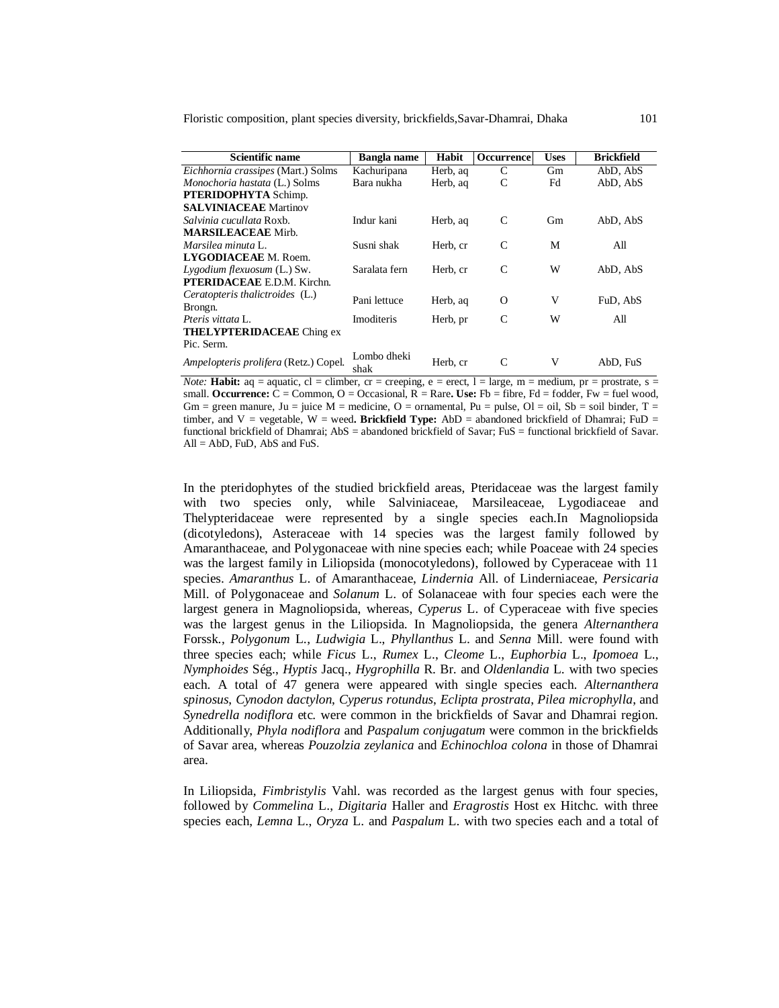| Scientific name                       | Bangla name         | Habit    | Occurrence | <b>Uses</b> | <b>Brickfield</b> |
|---------------------------------------|---------------------|----------|------------|-------------|-------------------|
| Eichhornia crassipes (Mart.) Solms    | Kachuripana         | Herb, ag | C          | Gm          | AbD, AbS          |
| Monochoria hastata (L.) Solms         | Bara nukha          | Herb, ag | C          | Fd          | AbD, AbS          |
| <b>PTERIDOPHYTA Schimp.</b>           |                     |          |            |             |                   |
| <b>SALVINIACEAE</b> Martinov          |                     |          |            |             |                   |
| <i>Salvinia cucullata</i> Roxb.       | Indur kani          | Herb, aq | C          | Gm          | AbD, AbS          |
| <b>MARSILEACEAE</b> Mirb.             |                     |          |            |             |                   |
| Marsilea minuta L.                    | Susni shak          | Herb, cr | C          | M           | All               |
| LYGODIACEAE M. Roem.                  |                     |          |            |             |                   |
| Lygodium flexuosum (L.) Sw.           | Saralata fern       | Herb, cr | C          | W           | AbD, AbS          |
| <b>PTERIDACEAE</b> E.D.M. Kirchn.     |                     |          |            |             |                   |
| Ceratopteris thalictroides (L.)       | Pani lettuce        |          |            | V           |                   |
| Brongn.                               |                     | Herb, aq | $\Omega$   |             | FuD, AbS          |
| <i>Pteris vittata</i> L.              | Imoditeris          | Herb, pr | C          | W           | All               |
| <b>THELYPTERIDACEAE</b> Ching ex      |                     |          |            |             |                   |
| Pic. Serm.                            |                     |          |            |             |                   |
| Ampelopteris prolifera (Retz.) Copel. | Lombo dheki<br>shak | Herb, cr | C          | V           | AbD. FuS          |

*Note:* **Habit:**  $aq = aquatic$ ,  $cl = climber$ ,  $cr = creeping$ ,  $e = erect$ ,  $l = large$ ,  $m = medium$ ,  $pr = prostrate$ ,  $s = r$ small. **Occurrence:**  $C =$  Common,  $O =$  Occasional,  $R =$  Rare. Use: Fb = fibre, Fd = fodder, Fw = fuel wood, Gm = green manure, Ju = juice M = medicine, O = ornamental, Pu = pulse, Ol = oil, Sb = soil binder, T = timber, and V = vegetable, W = weed**. Brickfield Type:** AbD = abandoned brickfield of Dhamrai; FuD = functional brickfield of Dhamrai; AbS = abandoned brickfield of Savar; FuS = functional brickfield of Savar.  $All = AbD$ , FuD, AbS and FuS.

In the pteridophytes of the studied brickfield areas, Pteridaceae was the largest family with two species only, while Salviniaceae, Marsileaceae, Lygodiaceae and Thelypteridaceae were represented by a single species each.In Magnoliopsida (dicotyledons), Asteraceae with 14 species was the largest family followed by Amaranthaceae, and Polygonaceae with nine species each; while Poaceae with 24 species was the largest family in Liliopsida (monocotyledons), followed by Cyperaceae with 11 species. *Amaranthus* L. of Amaranthaceae, *Lindernia* All. of Linderniaceae, *Persicaria* Mill. of Polygonaceae and *Solanum* L. of Solanaceae with four species each were the largest genera in Magnoliopsida, whereas, *Cyperus* L. of Cyperaceae with five species was the largest genus in the Liliopsida. In Magnoliopsida, the genera *Alternanthera* Forssk., *Polygonum* L., *Ludwigia* L., *Phyllanthus* L. and *Senna* Mill. were found with three species each; while *Ficus* L., *Rumex* L., *Cleome* L., *Euphorbia* L., *Ipomoea* L., *Nymphoides* Ség., *Hyptis* Jacq., *Hygrophilla* R. Br. and *Oldenlandia* L. with two species each. A total of 47 genera were appeared with single species each. *Alternanthera spinosus*, *Cynodon dactylon*, *Cyperus rotundus*, *Eclipta prostrata*, *Pilea microphylla*, and *Synedrella nodiflora* etc. were common in the brickfields of Savar and Dhamrai region. Additionally, *Phyla nodiflora* and *Paspalum conjugatum* were common in the brickfields of Savar area, whereas *Pouzolzia zeylanica* and *Echinochloa colona* in those of Dhamrai area.

In Liliopsida, *Fimbristylis* Vahl. was recorded as the largest genus with four species, followed by *Commelina* L., *Digitaria* Haller and *Eragrostis* Host ex Hitchc. with three species each, *Lemna* L., *Oryza* L. and *Paspalum* L. with two species each and a total of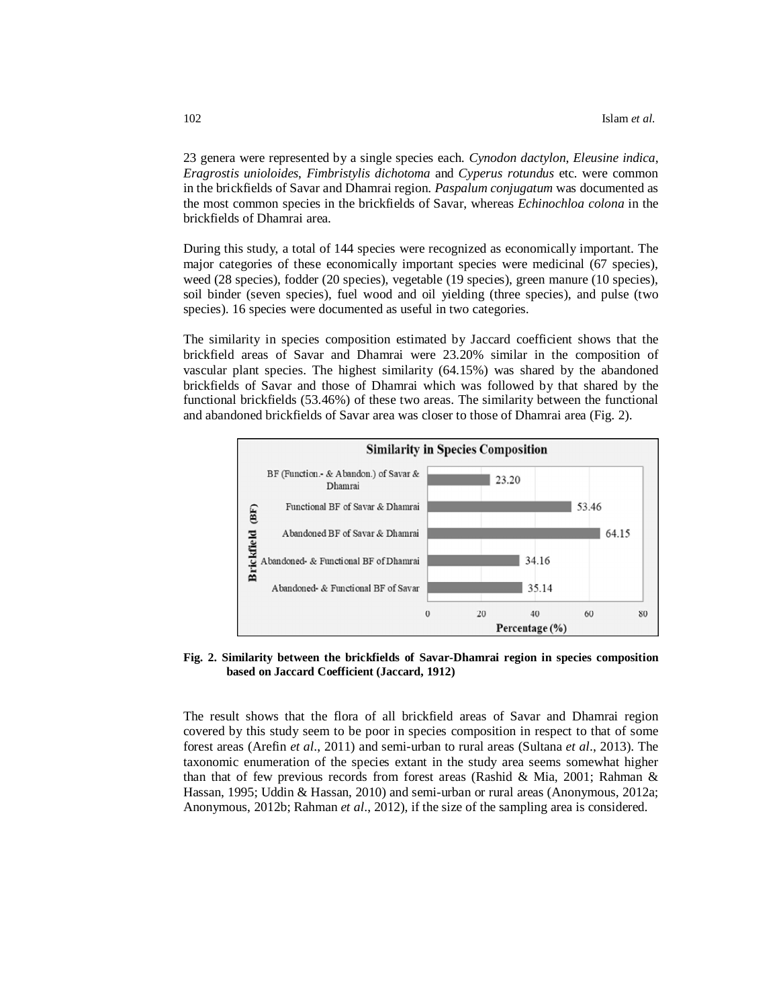23 genera were represented by a single species each. *Cynodon dactylon*, *Eleusine indica*, *Eragrostis unioloides*, *Fimbristylis dichotoma* and *Cyperus rotundus* etc. were common in the brickfields of Savar and Dhamrai region. *Paspalum conjugatum* was documented as the most common species in the brickfields of Savar, whereas *Echinochloa colona* in the brickfields of Dhamrai area.

During this study, a total of 144 species were recognized as economically important. The major categories of these economically important species were medicinal (67 species), weed (28 species), fodder (20 species), vegetable (19 species), green manure (10 species), soil binder (seven species), fuel wood and oil yielding (three species), and pulse (two species). 16 species were documented as useful in two categories.

The similarity in species composition estimated by Jaccard coefficient shows that the brickfield areas of Savar and Dhamrai were 23.20% similar in the composition of vascular plant species. The highest similarity (64.15%) was shared by the abandoned brickfields of Savar and those of Dhamrai which was followed by that shared by the functional brickfields (53.46%) of these two areas. The similarity between the functional and abandoned brickfields of Savar area was closer to those of Dhamrai area (Fig. 2).



**Fig. 2. Similarity between the brickfields of Savar-Dhamrai region in species composition based on Jaccard Coefficient (Jaccard, 1912)**

The result shows that the flora of all brickfield areas of Savar and Dhamrai region covered by this study seem to be poor in species composition in respect to that of some forest areas (Arefin *et al*., 2011) and semi-urban to rural areas (Sultana *et al*., 2013). The taxonomic enumeration of the species extant in the study area seems somewhat higher than that of few previous records from forest areas (Rashid & Mia, 2001; Rahman & Hassan, 1995; Uddin & Hassan, 2010) and semi-urban or rural areas (Anonymous, 2012a; Anonymous, 2012b; Rahman *et al*., 2012), if the size of the sampling area is considered.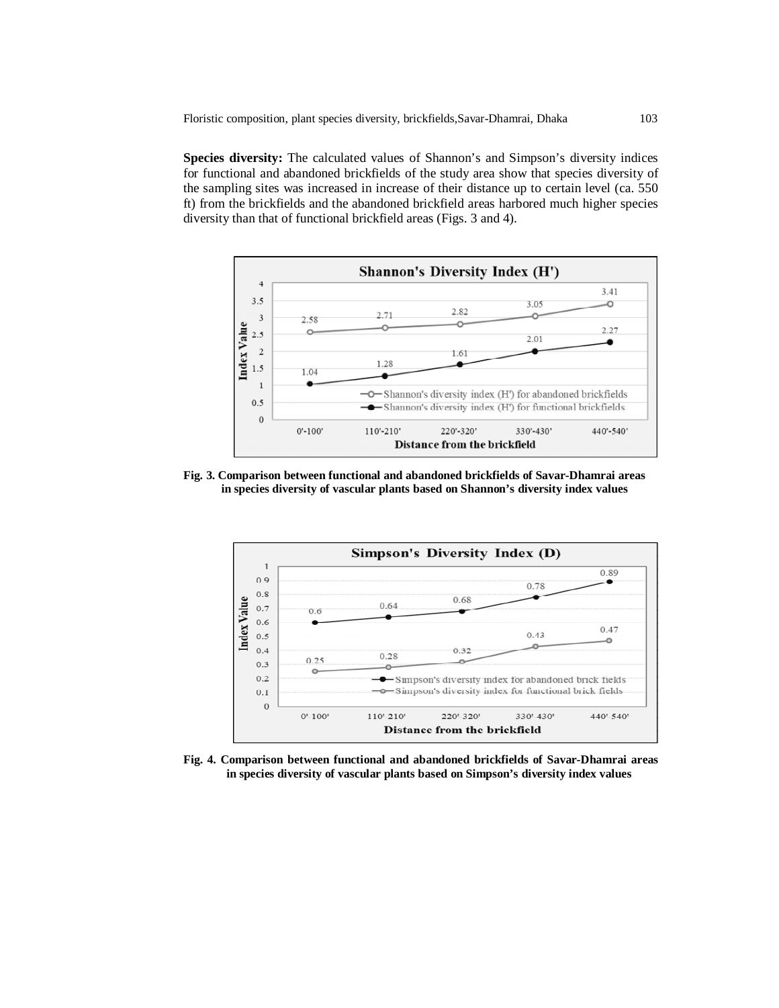**Species diversity:** The calculated values of Shannon's and Simpson's diversity indices for functional and abandoned brickfields of the study area show that species diversity of the sampling sites was increased in increase of their distance up to certain level (ca. 550 ft) from the brickfields and the abandoned brickfield areas harbored much higher species diversity than that of functional brickfield areas (Figs. 3 and 4).



**Fig. 3. Comparison between functional and abandoned brickfields of Savar-Dhamrai areas in species diversity of vascular plants based on Shannon's diversity index values**



**Fig. 4. Comparison between functional and abandoned brickfields of Savar-Dhamrai areas in species diversity of vascular plants based on Simpson's diversity index values**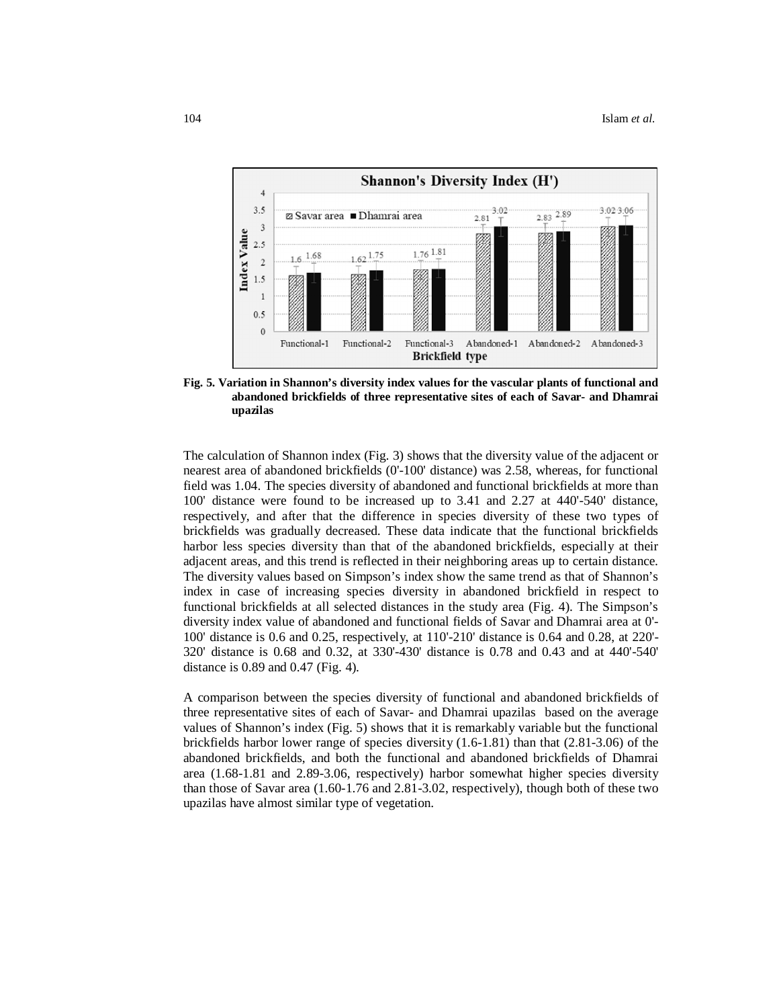

**Fig. 5. Variation in Shannon's diversity index values for the vascular plants of functional and abandoned brickfields of three representative sites of each of Savar- and Dhamrai upazilas**

The calculation of Shannon index (Fig. 3) shows that the diversity value of the adjacent or nearest area of abandoned brickfields (0'-100' distance) was 2.58, whereas, for functional field was 1.04. The species diversity of abandoned and functional brickfields at more than 100' distance were found to be increased up to 3.41 and 2.27 at 440'-540' distance, respectively, and after that the difference in species diversity of these two types of brickfields was gradually decreased. These data indicate that the functional brickfields harbor less species diversity than that of the abandoned brickfields, especially at their adjacent areas, and this trend is reflected in their neighboring areas up to certain distance. The diversity values based on Simpson's index show the same trend as that of Shannon's index in case of increasing species diversity in abandoned brickfield in respect to functional brickfields at all selected distances in the study area (Fig. 4). The Simpson's diversity index value of abandoned and functional fields of Savar and Dhamrai area at 0'- 100' distance is 0.6 and 0.25, respectively, at 110'-210' distance is 0.64 and 0.28, at 220'- 320' distance is 0.68 and 0.32, at 330'-430' distance is 0.78 and 0.43 and at 440'-540' distance is 0.89 and 0.47 (Fig. 4).

A comparison between the species diversity of functional and abandoned brickfields of three representative sites of each of Savar- and Dhamrai upazilas based on the average values of Shannon's index (Fig. 5) shows that it is remarkably variable but the functional brickfields harbor lower range of species diversity (1.6-1.81) than that (2.81-3.06) of the abandoned brickfields, and both the functional and abandoned brickfields of Dhamrai area (1.68-1.81 and 2.89-3.06, respectively) harbor somewhat higher species diversity than those of Savar area (1.60-1.76 and 2.81-3.02, respectively), though both of these two upazilas have almost similar type of vegetation.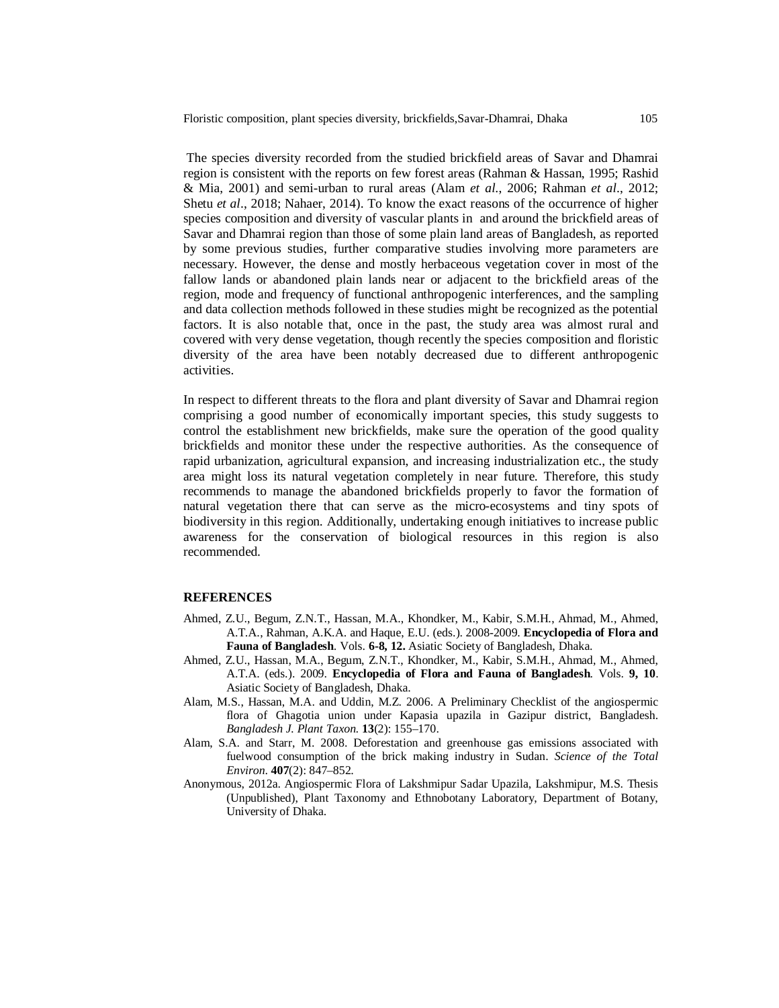The species diversity recorded from the studied brickfield areas of Savar and Dhamrai region is consistent with the reports on few forest areas (Rahman & Hassan, 1995; Rashid & Mia, 2001) and semi-urban to rural areas (Alam *et al*., 2006; Rahman *et al*., 2012; Shetu *et al*., 2018; Nahaer, 2014). To know the exact reasons of the occurrence of higher species composition and diversity of vascular plants in and around the brickfield areas of Savar and Dhamrai region than those of some plain land areas of Bangladesh, as reported by some previous studies, further comparative studies involving more parameters are necessary. However, the dense and mostly herbaceous vegetation cover in most of the fallow lands or abandoned plain lands near or adjacent to the brickfield areas of the region, mode and frequency of functional anthropogenic interferences, and the sampling and data collection methods followed in these studies might be recognized as the potential factors. It is also notable that, once in the past, the study area was almost rural and covered with very dense vegetation, though recently the species composition and floristic diversity of the area have been notably decreased due to different anthropogenic activities.

In respect to different threats to the flora and plant diversity of Savar and Dhamrai region comprising a good number of economically important species, this study suggests to control the establishment new brickfields, make sure the operation of the good quality brickfields and monitor these under the respective authorities. As the consequence of rapid urbanization, agricultural expansion, and increasing industrialization etc., the study area might loss its natural vegetation completely in near future. Therefore, this study recommends to manage the abandoned brickfields properly to favor the formation of natural vegetation there that can serve as the micro-ecosystems and tiny spots of biodiversity in this region. Additionally, undertaking enough initiatives to increase public awareness for the conservation of biological resources in this region is also recommended.

### **REFERENCES**

- Ahmed, Z.U., Begum, Z.N.T., Hassan, M.A., Khondker, M., Kabir, S.M.H., Ahmad, M., Ahmed, A.T.A., Rahman, A.K.A. and Haque, E.U. (eds.). 2008-2009. **Encyclopedia of Flora and Fauna of Bangladesh**. Vols. **6-8, 12.** Asiatic Society of Bangladesh, Dhaka.
- Ahmed, Z.U., Hassan, M.A., Begum, Z.N.T., Khondker, M., Kabir, S.M.H., Ahmad, M., Ahmed, A.T.A. (eds.). 2009. **Encyclopedia of Flora and Fauna of Bangladesh**. Vols. **9, 10**. Asiatic Society of Bangladesh, Dhaka.
- Alam, M.S., Hassan, M.A. and Uddin, M.Z. 2006. A Preliminary Checklist of the angiospermic flora of Ghagotia union under Kapasia upazila in Gazipur district, Bangladesh. *Bangladesh J. Plant Taxon.* **13**(2): 155–170.
- Alam, S.A. and Starr, M. 2008. Deforestation and greenhouse gas emissions associated with fuelwood consumption of the brick making industry in Sudan. *Science of the Total Environ*. **407**(2): 847–852.
- Anonymous, 2012a. Angiospermic Flora of Lakshmipur Sadar Upazila, Lakshmipur, M.S. Thesis (Unpublished), Plant Taxonomy and Ethnobotany Laboratory, Department of Botany, University of Dhaka.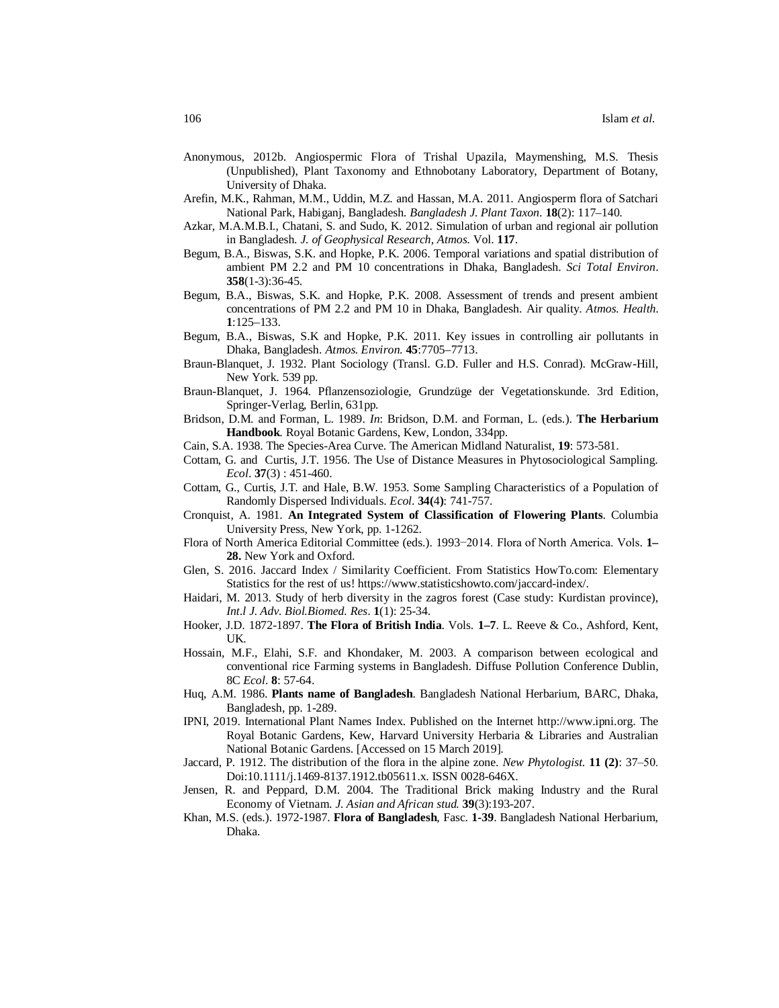- Anonymous, 2012b. Angiospermic Flora of Trishal Upazila, Maymenshing, M.S. Thesis (Unpublished), Plant Taxonomy and Ethnobotany Laboratory, Department of Botany, University of Dhaka.
- Arefin, M.K., Rahman, M.M., Uddin, M.Z. and Hassan, M.A. 2011. Angiosperm flora of Satchari National Park, Habiganj, Bangladesh. *Bangladesh J. Plant Taxon*. **18**(2): 117–140.
- Azkar, M.A.M.B.I., Chatani, S. and Sudo, K. 2012. Simulation of urban and regional air pollution in Bangladesh. *J. of Geophysical Research, Atmos*. Vol. **117**.
- Begum, B.A., Biswas, S.K. and Hopke, P.K. 2006. Temporal variations and spatial distribution of ambient PM 2.2 and PM 10 concentrations in Dhaka, Bangladesh. *Sci Total Environ*. **358**(1-3):36-45.
- Begum, B.A., Biswas, S.K. and Hopke, P.K. 2008. Assessment of trends and present ambient concentrations of PM 2.2 and PM 10 in Dhaka, Bangladesh. Air quality. *Atmos. Health*. **1**:125–133.
- Begum, B.A., Biswas, S.K and Hopke, P.K. 2011. Key issues in controlling air pollutants in Dhaka, Bangladesh. *Atmos. Environ*. **45**:7705–7713.
- Braun-Blanquet, J. 1932. Plant Sociology (Transl. G.D. Fuller and H.S. Conrad). McGraw-Hill, New York. 539 pp.
- Braun-Blanquet, J. 1964. Pflanzensoziologie, Grundzüge der Vegetationskunde. 3rd Edition, Springer-Verlag, Berlin, 631pp.
- Bridson, D.M. and Forman, L. 1989. *In*: Bridson, D.M. and Forman, L. (eds.). **The Herbarium Handbook**. Royal Botanic Gardens, Kew, London, 334pp.
- Cain, S.A. 1938. The Species-Area Curve. The American Midland Naturalist, **19**: 573-581.
- Cottam, G. and Curtis, J.T. 1956. The Use of Distance Measures in Phytosociological Sampling. *Ecol*. **37**(3) : 451-460.
- Cottam, G., Curtis, J.T. and Hale, B.W. 1953. Some Sampling Characteristics of a Population of Randomly Dispersed Individuals. *Ecol*. **34(**4**)**: 741-757.
- Cronquist, A. 1981. **An Integrated System of Classification of Flowering Plants**. Columbia University Press, New York, pp. 1-1262.
- Flora of North America Editorial Committee (eds.). 1993−2014. Flora of North America. Vols. **1– 28.** New York and Oxford.
- Glen, S. 2016. Jaccard Index / Similarity Coefficient. From Statistics HowTo.com: Elementary Statistics for the rest of us! https://www.statisticshowto.com/jaccard-index/.
- Haidari, M. 2013. Study of herb diversity in the zagros forest (Case study: Kurdistan province), *Int.l J. Adv. Biol.Biomed. Res*. **1**(1): 25-34.
- Hooker, J.D. 1872-1897. **The Flora of British India**. Vols. **1–7**. L. Reeve & Co., Ashford, Kent, UK.
- Hossain, M.F., Elahi, S.F. and Khondaker, M. 2003. A comparison between ecological and conventional rice Farming systems in Bangladesh. Diffuse Pollution Conference Dublin, 8C *Ecol*. **8**: 57-64.
- Huq, A.M. 1986. **Plants name of Bangladesh**. Bangladesh National Herbarium, BARC, Dhaka, Bangladesh, pp. 1-289.
- IPNI, 2019. International Plant Names Index. Published on the Internet http://www.ipni.org. The Royal Botanic Gardens, Kew, Harvard University Herbaria & Libraries and Australian National Botanic Gardens. [Accessed on 15 March 2019].
- Jaccard, P. 1912. The distribution of the flora in the alpine zone. *New Phytologist*. **11 (2)**: 37‒50. Doi:10.1111/j.1469-8137.1912.tb05611.x. ISSN 0028-646X.
- Jensen, R. and Peppard, D.M. 2004. The Traditional Brick making Industry and the Rural Economy of Vietnam. *J. Asian and African stud.* **39**(3):193-207.
- Khan, M.S. (eds.). 1972-1987. **Flora of Bangladesh**, Fasc. **1-39**. Bangladesh National Herbarium, Dhaka.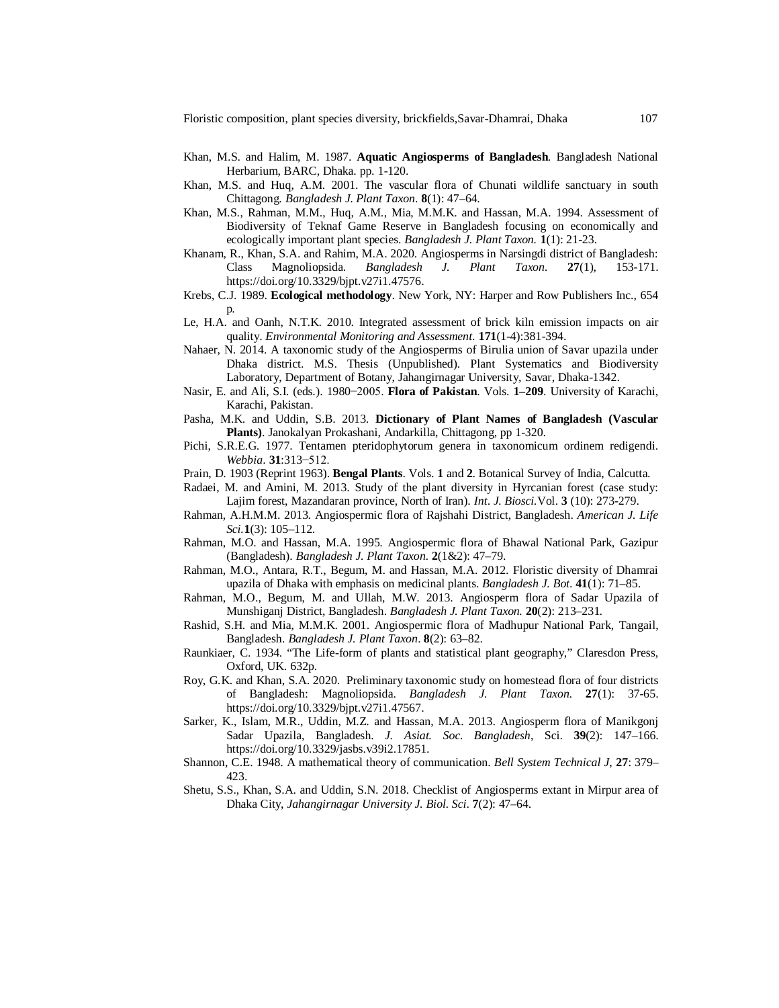Floristic composition, plant species diversity, brickfields,Savar-Dhamrai, Dhaka 107

- Khan, M.S. and Halim, M. 1987. **Aquatic Angiosperms of Bangladesh**. Bangladesh National Herbarium, BARC, Dhaka. pp. 1-120.
- Khan, M.S. and Huq, A.M. 2001. The vascular flora of Chunati wildlife sanctuary in south Chittagong. *Bangladesh J. Plant Taxon*. **8**(1): 47–64.
- Khan, M.S., Rahman, M.M., Huq, A.M., Mia, M.M.K. and Hassan, M.A. 1994. Assessment of Biodiversity of Teknaf Game Reserve in Bangladesh focusing on economically and ecologically important plant species. *Bangladesh J. Plant Taxon.* **1**(1): 21-23.
- Khanam, R., Khan, S.A. and Rahim, M.A. 2020. Angiosperms in Narsingdi district of Bangladesh: Class Magnoliopsida. *Bangladesh J. Plant Taxon.* **27**(1), 153-171. https://doi.org/10.3329/bjpt.v27i1.47576.
- Krebs, C.J. 1989. **Ecological methodology**. New York, NY: Harper and Row Publishers Inc., 654 p.
- Le, H.A. and Oanh, N.T.K. 2010. Integrated assessment of brick kiln emission impacts on air quality. *Environmental Monitoring and Assessment*. **171**(1-4):381-394.
- Nahaer, N. 2014. A taxonomic study of the Angiosperms of Birulia union of Savar upazila under Dhaka district. M.S. Thesis (Unpublished). Plant Systematics and Biodiversity Laboratory, Department of Botany, Jahangirnagar University, Savar, Dhaka-1342.
- Nasir, E. and Ali, S.I. (eds.). 1980−2005. **Flora of Pakistan**. Vols. **1–209**. University of Karachi, Karachi, Pakistan.
- Pasha, M.K. and Uddin, S.B. 2013. **Dictionary of Plant Names of Bangladesh (Vascular Plants)**. Janokalyan Prokashani, Andarkilla, Chittagong, pp 1-320.
- Pichi, S.R.E.G. 1977. Tentamen pteridophytorum genera in taxonomicum ordinem redigendi. *Webbia*. **31**:313−512.
- Prain, D. 1903 (Reprint 1963). **Bengal Plants**. Vols. **1** and **2**. Botanical Survey of India, Calcutta.
- Radaei, M. and Amini, M. 2013. Study of the plant diversity in Hyrcanian forest (case study: Lajim forest, Mazandaran province, North of Iran). *Int*. *J. Biosci.*Vol. **3** (10): 273-279.
- Rahman, A.H.M.M. 2013. Angiospermic flora of Rajshahi District, Bangladesh. *American J. Life Sci.***1**(3): 105–112.
- Rahman, M.O. and Hassan, M.A. 1995. Angiospermic flora of Bhawal National Park, Gazipur (Bangladesh). *Bangladesh J. Plant Taxon.* **2**(1&2): 47–79.
- Rahman, M.O., Antara, R.T., Begum, M. and Hassan, M.A. 2012. Floristic diversity of Dhamrai upazila of Dhaka with emphasis on medicinal plants. *Bangladesh J. Bot*. **41**(1): 71–85.
- Rahman, M.O., Begum, M. and Ullah, M.W. 2013. Angiosperm flora of Sadar Upazila of Munshiganj District, Bangladesh. *Bangladesh J. Plant Taxon.* **20**(2): 213–231.
- Rashid, S.H. and Mia, M.M.K. 2001. Angiospermic flora of Madhupur National Park, Tangail, Bangladesh. *Bangladesh J. Plant Taxon*. **8**(2): 63–82.
- Raunkiaer, C. 1934. "The Life-form of plants and statistical plant geography," Claresdon Press, Oxford, UK. 632p.
- Roy, G.K. and Khan, S.A. 2020. Preliminary taxonomic study on homestead flora of four districts of Bangladesh: Magnoliopsida. *Bangladesh J. Plant Taxon.* **27**(1): 37-65. https://doi.org/10.3329/bjpt.v27i1.47567.
- Sarker, K., Islam, M.R., Uddin, M.Z. and Hassan, M.A. 2013. Angiosperm flora of Manikgonj Sadar Upazila, Bangladesh. *J. Asiat. Soc. Bangladesh*, Sci. **39**(2): 147–166. https://doi.org/10.3329/jasbs.v39i2.17851.
- Shannon, C.E. 1948. A mathematical theory of communication. *Bell System Technical J*, **27**: 379– 423.
- Shetu, S.S., Khan, S.A. and Uddin, S.N. 2018. Checklist of Angiosperms extant in Mirpur area of Dhaka City, *Jahangirnagar University J. Biol. Sci*. **7**(2): 47–64.